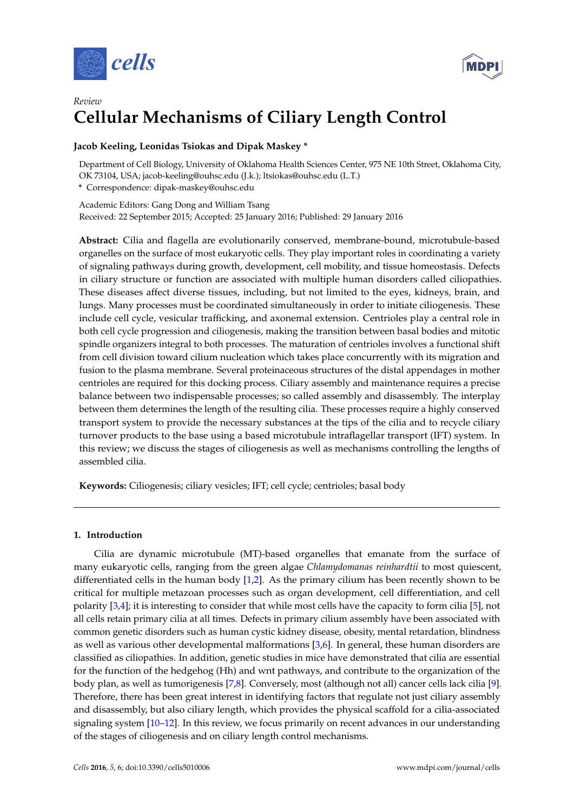



# *Review* **Cellular Mechanisms of Ciliary Length Control**

### **Jacob Keeling, Leonidas Tsiokas and Dipak Maskey \***

Department of Cell Biology, University of Oklahoma Health Sciences Center, 975 NE 10th Street, Oklahoma City, OK 73104, USA; jacob-keeling@ouhsc.edu (J.k.); ltsiokas@ouhsc.edu (L.T.)

**\*** Correspondence: dipak-maskey@ouhsc.edu

Academic Editors: Gang Dong and William Tsang Received: 22 September 2015; Accepted: 25 January 2016; Published: 29 January 2016

**Abstract:** Cilia and flagella are evolutionarily conserved, membrane-bound, microtubule-based organelles on the surface of most eukaryotic cells. They play important roles in coordinating a variety of signaling pathways during growth, development, cell mobility, and tissue homeostasis. Defects in ciliary structure or function are associated with multiple human disorders called ciliopathies. These diseases affect diverse tissues, including, but not limited to the eyes, kidneys, brain, and lungs. Many processes must be coordinated simultaneously in order to initiate ciliogenesis. These include cell cycle, vesicular trafficking, and axonemal extension. Centrioles play a central role in both cell cycle progression and ciliogenesis, making the transition between basal bodies and mitotic spindle organizers integral to both processes. The maturation of centrioles involves a functional shift from cell division toward cilium nucleation which takes place concurrently with its migration and fusion to the plasma membrane. Several proteinaceous structures of the distal appendages in mother centrioles are required for this docking process. Ciliary assembly and maintenance requires a precise balance between two indispensable processes; so called assembly and disassembly. The interplay between them determines the length of the resulting cilia. These processes require a highly conserved transport system to provide the necessary substances at the tips of the cilia and to recycle ciliary turnover products to the base using a based microtubule intraflagellar transport (IFT) system. In this review; we discuss the stages of ciliogenesis as well as mechanisms controlling the lengths of assembled cilia.

**Keywords:** Ciliogenesis; ciliary vesicles; IFT; cell cycle; centrioles; basal body

### **1. Introduction**

Cilia are dynamic microtubule (MT)-based organelles that emanate from the surface of many eukaryotic cells, ranging from the green algae *Chlamydomanas reinhardtii* to most quiescent, differentiated cells in the human body [\[1,](#page-10-0)[2\]](#page-10-1). As the primary cilium has been recently shown to be critical for multiple metazoan processes such as organ development, cell differentiation, and cell polarity [\[3](#page-10-2)[,4\]](#page-11-0); it is interesting to consider that while most cells have the capacity to form cilia [\[5\]](#page-11-1), not all cells retain primary cilia at all times. Defects in primary cilium assembly have been associated with common genetic disorders such as human cystic kidney disease, obesity, mental retardation, blindness as well as various other developmental malformations [\[3,](#page-10-2)[6\]](#page-11-2). In general, these human disorders are classified as ciliopathies. In addition, genetic studies in mice have demonstrated that cilia are essential for the function of the hedgehog (Hh) and wnt pathways, and contribute to the organization of the body plan, as well as tumorigenesis [\[7](#page-11-3)[,8\]](#page-11-4). Conversely, most (although not all) cancer cells lack cilia [\[9\]](#page-11-5). Therefore, there has been great interest in identifying factors that regulate not just ciliary assembly and disassembly, but also ciliary length, which provides the physical scaffold for a cilia-associated signaling system [\[10–](#page-11-6)[12\]](#page-11-7). In this review, we focus primarily on recent advances in our understanding of the stages of ciliogenesis and on ciliary length control mechanisms.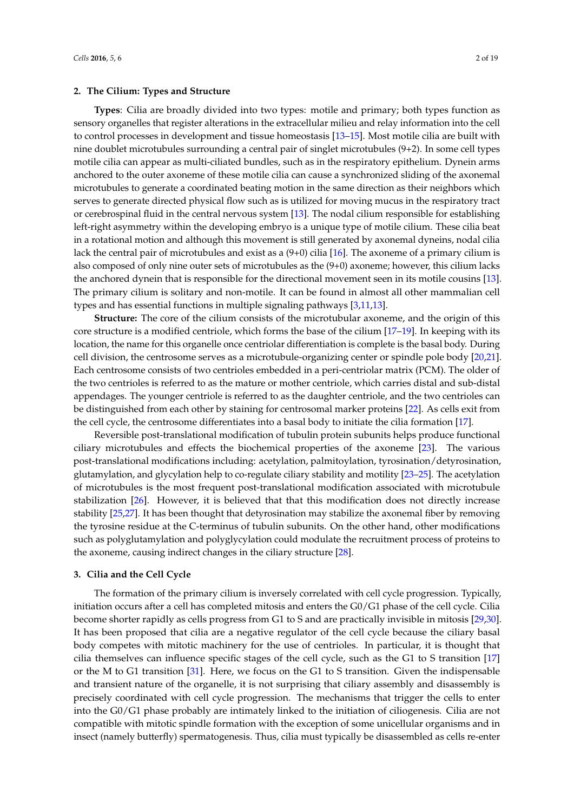to control processes in development and tissue homeostasis [\[13–](#page-11-8)[15\]](#page-11-9). Most motile cilia are built with nine doublet microtubules surrounding a central pair of singlet microtubules (9+2). In some cell types motile cilia can appear as multi-ciliated bundles, such as in the respiratory epithelium. Dynein arms anchored to the outer axoneme of these motile cilia can cause a synchronized sliding of the axonemal microtubules to generate a coordinated beating motion in the same direction as their neighbors which serves to generate directed physical flow such as is utilized for moving mucus in the respiratory tract or cerebrospinal fluid in the central nervous system [\[13\]](#page-11-8). The nodal cilium responsible for establishing left-right asymmetry within the developing embryo is a unique type of motile cilium. These cilia beat in a rotational motion and although this movement is still generated by axonemal dyneins, nodal cilia lack the central pair of microtubules and exist as a (9+0) cilia [\[16\]](#page-11-10). The axoneme of a primary cilium is also composed of only nine outer sets of microtubules as the (9+0) axoneme; however, this cilium lacks the anchored dynein that is responsible for the directional movement seen in its motile cousins [\[13\]](#page-11-8). The primary cilium is solitary and non-motile. It can be found in almost all other mammalian cell types and has essential functions in multiple signaling pathways [\[3,](#page-10-2)[11,](#page-11-11)[13\]](#page-11-8).

**Structure:** The core of the cilium consists of the microtubular axoneme, and the origin of this core structure is a modified centriole, which forms the base of the cilium [\[17–](#page-11-12)[19\]](#page-11-13). In keeping with its location, the name for this organelle once centriolar differentiation is complete is the basal body. During cell division, the centrosome serves as a microtubule-organizing center or spindle pole body [\[20,](#page-11-14)[21\]](#page-11-15). Each centrosome consists of two centrioles embedded in a peri-centriolar matrix (PCM). The older of the two centrioles is referred to as the mature or mother centriole, which carries distal and sub-distal appendages. The younger centriole is referred to as the daughter centriole, and the two centrioles can be distinguished from each other by staining for centrosomal marker proteins [\[22\]](#page-11-16). As cells exit from the cell cycle, the centrosome differentiates into a basal body to initiate the cilia formation [\[17\]](#page-11-12).

Reversible post-translational modification of tubulin protein subunits helps produce functional ciliary microtubules and effects the biochemical properties of the axoneme [\[23\]](#page-11-17). The various post-translational modifications including: acetylation, palmitoylation, tyrosination/detyrosination, glutamylation, and glycylation help to co-regulate ciliary stability and motility [\[23](#page-11-17)[–25\]](#page-11-18). The acetylation of microtubules is the most frequent post-translational modification associated with microtubule stabilization [\[26\]](#page-11-19). However, it is believed that that this modification does not directly increase stability [\[25,](#page-11-18)[27\]](#page-11-20). It has been thought that detyrosination may stabilize the axonemal fiber by removing the tyrosine residue at the C-terminus of tubulin subunits. On the other hand, other modifications such as polyglutamylation and polyglycylation could modulate the recruitment process of proteins to the axoneme, causing indirect changes in the ciliary structure [\[28\]](#page-12-0).

### **3. Cilia and the Cell Cycle**

The formation of the primary cilium is inversely correlated with cell cycle progression. Typically, initiation occurs after a cell has completed mitosis and enters the G0/G1 phase of the cell cycle. Cilia become shorter rapidly as cells progress from G1 to S and are practically invisible in mitosis [\[29,](#page-12-1)[30\]](#page-12-2). It has been proposed that cilia are a negative regulator of the cell cycle because the ciliary basal body competes with mitotic machinery for the use of centrioles. In particular, it is thought that cilia themselves can influence specific stages of the cell cycle, such as the G1 to S transition [\[17\]](#page-11-12) or the M to G1 transition [\[31\]](#page-12-3). Here, we focus on the G1 to S transition. Given the indispensable and transient nature of the organelle, it is not surprising that ciliary assembly and disassembly is precisely coordinated with cell cycle progression. The mechanisms that trigger the cells to enter into the G0/G1 phase probably are intimately linked to the initiation of ciliogenesis. Cilia are not compatible with mitotic spindle formation with the exception of some unicellular organisms and in insect (namely butterfly) spermatogenesis. Thus, cilia must typically be disassembled as cells re-enter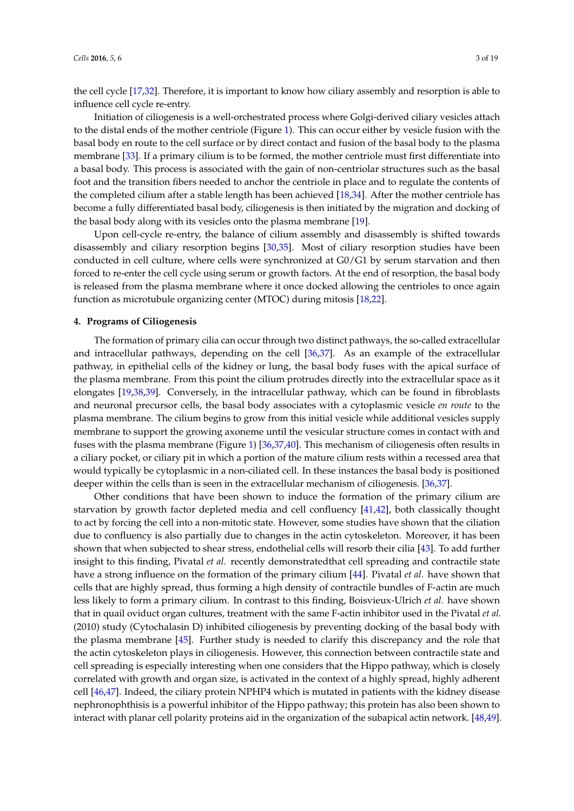the cell cycle [\[17,](#page-11-12)[32\]](#page-12-4). Therefore, it is important to know how ciliary assembly and resorption is able to influence cell cycle re-entry.

Initiation of ciliogenesis is a well-orchestrated process where Golgi-derived ciliary vesicles attach to the distal ends of the mother centriole (Figure [1\)](#page-3-0). This can occur either by vesicle fusion with the basal body en route to the cell surface or by direct contact and fusion of the basal body to the plasma membrane [\[33\]](#page-12-5). If a primary cilium is to be formed, the mother centriole must first differentiate into a basal body. This process is associated with the gain of non-centriolar structures such as the basal foot and the transition fibers needed to anchor the centriole in place and to regulate the contents of the completed cilium after a stable length has been achieved [\[18](#page-11-21)[,34\]](#page-12-6). After the mother centriole has become a fully differentiated basal body, ciliogenesis is then initiated by the migration and docking of the basal body along with its vesicles onto the plasma membrane [\[19\]](#page-11-13).

Upon cell-cycle re-entry, the balance of cilium assembly and disassembly is shifted towards disassembly and ciliary resorption begins [\[30,](#page-12-2)[35\]](#page-12-7). Most of ciliary resorption studies have been conducted in cell culture, where cells were synchronized at G0/G1 by serum starvation and then forced to re-enter the cell cycle using serum or growth factors. At the end of resorption, the basal body is released from the plasma membrane where it once docked allowing the centrioles to once again function as microtubule organizing center (MTOC) during mitosis [\[18,](#page-11-21)[22\]](#page-11-16).

### **4. Programs of Ciliogenesis**

The formation of primary cilia can occur through two distinct pathways, the so-called extracellular and intracellular pathways, depending on the cell [\[36](#page-12-8)[,37\]](#page-12-9). As an example of the extracellular pathway, in epithelial cells of the kidney or lung, the basal body fuses with the apical surface of the plasma membrane. From this point the cilium protrudes directly into the extracellular space as it elongates [\[19,](#page-11-13)[38,](#page-12-10)[39\]](#page-12-11). Conversely, in the intracellular pathway, which can be found in fibroblasts and neuronal precursor cells, the basal body associates with a cytoplasmic vesicle *en route* to the plasma membrane. The cilium begins to grow from this initial vesicle while additional vesicles supply membrane to support the growing axoneme until the vesicular structure comes in contact with and fuses with the plasma membrane (Figure [1\)](#page-3-0) [\[36](#page-12-8)[,37](#page-12-9)[,40\]](#page-12-12). This mechanism of ciliogenesis often results in a ciliary pocket, or ciliary pit in which a portion of the mature cilium rests within a recessed area that would typically be cytoplasmic in a non-ciliated cell. In these instances the basal body is positioned deeper within the cells than is seen in the extracellular mechanism of ciliogenesis. [\[36](#page-12-8)[,37\]](#page-12-9).

Other conditions that have been shown to induce the formation of the primary cilium are starvation by growth factor depleted media and cell confluency [\[41](#page-12-13)[,42\]](#page-12-14), both classically thought to act by forcing the cell into a non-mitotic state. However, some studies have shown that the ciliation due to confluency is also partially due to changes in the actin cytoskeleton. Moreover, it has been shown that when subjected to shear stress, endothelial cells will resorb their cilia [\[43\]](#page-12-15). To add further insight to this finding, Pivatal *et al.* recently demonstratedthat cell spreading and contractile state have a strong influence on the formation of the primary cilium [\[44\]](#page-12-16). Pivatal *et al.* have shown that cells that are highly spread, thus forming a high density of contractile bundles of F-actin are much less likely to form a primary cilium. In contrast to this finding, Boisvieux-Ulrich *et al.* have shown that in quail oviduct organ cultures, treatment with the same F-actin inhibitor used in the Pivatal *et al.* (2010) study (Cytochalasin D) inhibited ciliogenesis by preventing docking of the basal body with the plasma membrane [\[45\]](#page-12-17). Further study is needed to clarify this discrepancy and the role that the actin cytoskeleton plays in ciliogenesis. However, this connection between contractile state and cell spreading is especially interesting when one considers that the Hippo pathway, which is closely correlated with growth and organ size, is activated in the context of a highly spread, highly adherent cell [\[46,](#page-12-18)[47\]](#page-12-19). Indeed, the ciliary protein NPHP4 which is mutated in patients with the kidney disease nephronophthisis is a powerful inhibitor of the Hippo pathway; this protein has also been shown to interact with planar cell polarity proteins aid in the organization of the subapical actin network. [\[48](#page-12-20)[,49\]](#page-12-21).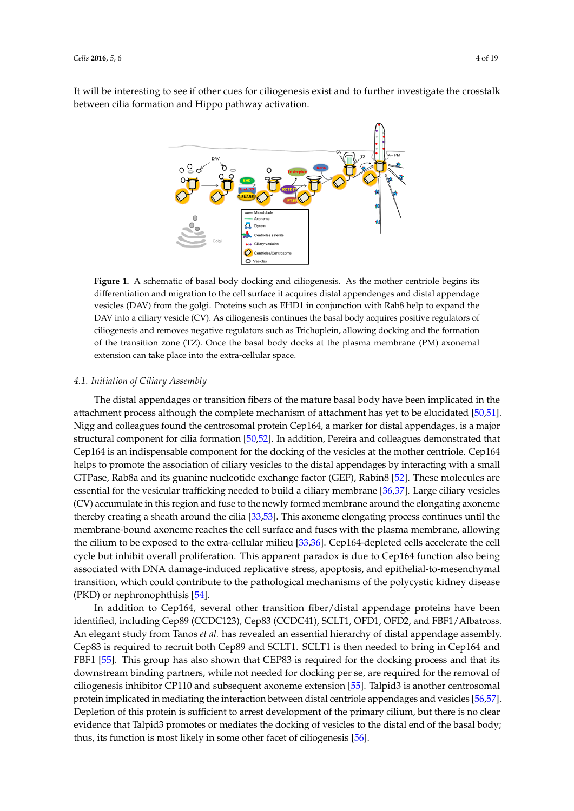It will be interesting to see if other cues for ciliogenesis exist and to further investigate the crosstalk between cilia formation and Hippo pathway activation.

<span id="page-3-0"></span>

**Figure 1**. A schematic of basal body docking and ciliogenesis. As the mother centriole begins its **Figure 1.** A schematic of basal body docking and ciliogenesis. As the mother centriole begins its differentiation and migration to the cell surface it acquires distal appendenges and distal appendage differentiation and migration to the cell surface it acquires distal appendenges and distal appendage vesicles (DAV) from the golgi. Proteins such as EHD1 in conjunction with Rab8 help to expand the vesicles (DAV) from the golgi. Proteins such as EHD1 in conjunction with Rab8 help to expand the DAV into a ciliary vesicle (CV). As ciliogenesis continues the basal body acquires positive regulators DAV into a ciliary vesicle (CV). As ciliogenesis continues the basal body acquires positive regulators of of ciliogenesis and removes negative regulators such as Trichoplein, allowing docking and the ciliogenesis and removes negative regulators such as Trichoplein, allowing docking and the formation<br>Ciliogenesis and removes negative regulators such as Trichoplein, allowing docking and the formation of the transition zone (TZ). Once the basal body docks at the plasma membrane (PM) axonemal extension can take place into the extra-cellular space.

## The distal appendages or transition fibers of the mature basal body have been implicated in the *4.1. Initiation of Ciliary Assembly*

The distal appendages or transition fibers of the mature basal body have been implicated in the attachment process although the complete mechanism of attachment has yet to be elucidated [\[50,](#page-12-22)[51\]](#page-13-0). man process tructural compress meantained compared that  $\frac{1}{2}$ Nigg and colleagues found the centrosomal protein Cep164, a marker for distal appendages, is a major  $\,$ structural component for cilia formation [\[50,](#page-12-22)[52\]](#page-13-1). In addition, Pereira and colleagues demonstrated that Cep164 is an indispensable component for the docking of the vesicles at the mother centriole. Cep164  $\,$ helps to promote the association of ciliary vesicles to the distal appendages by interacting with a small GTPase, Rab8a and its guanine nucleotide exchange factor (GEF), Rabin8 [\[52\]](#page-13-1). These molecules are essential for the vesicular trafficking needed to build a ciliary membrane [\[36,](#page-12-8)[37\]](#page-12-9). Large ciliary vesicles (CV) accumulate in this region and fuse to the newly formed membrane around the elongating axoneme  $\frac{1}{\sqrt{1-\frac{1}{\sqrt{1-\frac{1}{\sqrt{1-\frac{1}{\sqrt{1-\frac{1}{\sqrt{1-\frac{1}{\sqrt{1-\frac{1}{\sqrt{1-\frac{1}{\sqrt{1-\frac{1}{\sqrt{1-\frac{1}{\sqrt{1-\frac{1}{\sqrt{1-\frac{1}{\sqrt{1-\frac{1}{\sqrt{1-\frac{1}{\sqrt{1-\frac{1}{\sqrt{1-\frac{1}{\sqrt{1-\frac{1}{\sqrt{1-\frac{1}{\sqrt{1-\frac{1}{\sqrt{1-\frac{1}{\sqrt{1-\frac{1}{\sqrt{1-\frac{1}{\sqrt{1-\frac{1}{\sqrt{1-\frac{1}{\sqrt{1-\frac{1$ thereby creating a sheath around the cilia  $[33,53]$  $[33,53]$ . This axoneme elongating process continues until the membrane-bound axoneme reaches the cell surface and fuses with the plasma membrane, allowing the cilium to be exposed to the extra-cellular milieu [\[33,](#page-12-5)[36\]](#page-12-8). Cep164-depleted cells accelerate the cell cycle but inhibit overall proliferation. This apparent paradox is due to Cep164 function also being associated with DNA damage-induced replicative stress, apoptosis, and epithelial-to-mesenchymal transition, which could contribute to the pathological mechanisms of the polycystic kidney disease (PKD) or nephronophthisis [\[54\]](#page-13-3).

appendage as  $\mathcal{C}_{\mathcal{A}}$  is required to recruit both Cep89 and SCLT1 is the needed to recruit both Cep89 and SCLT In addition to Cep164, several other transition fiber/distal appendage proteins have been<br>In addition to Cep164, several other transition fiber/distal appendage proteins have been identified, including Cep89 (CCDC123), Cep83 (CCDC41), SCLT1, OFD1, OFD2, and FBF1/Albatross. An elegant study from Tanos *et al.* has revealed an essential hierarchy of distal appendage assembly. Cep83 is required to recruit both Cep89 and SCLT1. SCLT1 is then needed to bring in Cep164 and FBF1 [\[55\]](#page-13-4). This group has also shown that CEP83 is required for the docking process and that its downstream binding partners, while not needed for docking per se, are required for the removal of ciliogenesis inhibitor CP110 and subsequent axoneme extension [\[55\]](#page-13-4). Talpid3 is another centrosomal protein implicated in mediating the interaction between distal centriole appendages and vesicles [\[56](#page-13-5)[,57\]](#page-13-6). Depletion of this protein is sufficient to arrest development of the primary cilium, but there is no clear evidence that Talpid3 promotes or mediates the docking of vesicles to the distal end of the basal body; thus, its function is most likely in some other facet of ciliogenesis [\[56\]](#page-13-5).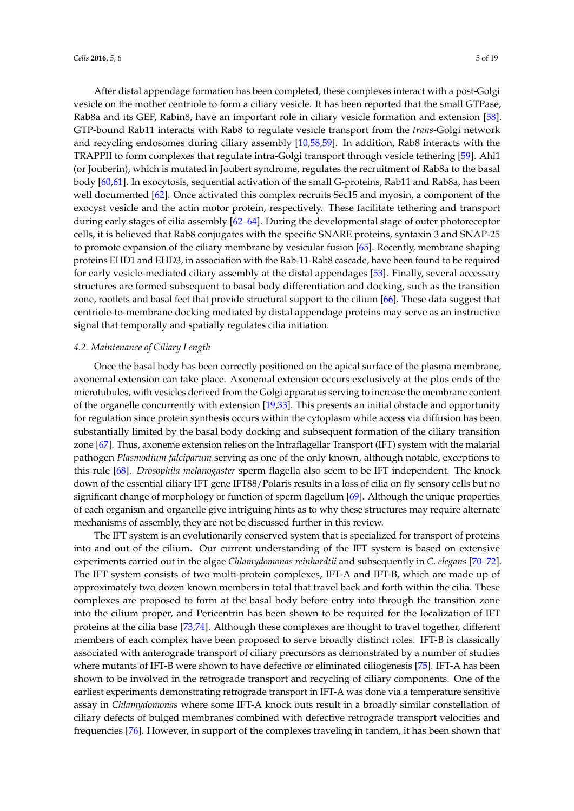After distal appendage formation has been completed, these complexes interact with a post-Golgi vesicle on the mother centriole to form a ciliary vesicle. It has been reported that the small GTPase, Rab8a and its GEF, Rabin8, have an important role in ciliary vesicle formation and extension [\[58\]](#page-13-7). GTP-bound Rab11 interacts with Rab8 to regulate vesicle transport from the *trans*-Golgi network and recycling endosomes during ciliary assembly [\[10](#page-11-6)[,58](#page-13-7)[,59\]](#page-13-8). In addition, Rab8 interacts with the TRAPPII to form complexes that regulate intra-Golgi transport through vesicle tethering [\[59\]](#page-13-8). Ahi1 (or Jouberin), which is mutated in Joubert syndrome, regulates the recruitment of Rab8a to the basal body [\[60](#page-13-9)[,61\]](#page-13-10). In exocytosis, sequential activation of the small G-proteins, Rab11 and Rab8a, has been well documented [\[62\]](#page-13-11). Once activated this complex recruits Sec15 and myosin, a component of the exocyst vesicle and the actin motor protein, respectively. These facilitate tethering and transport during early stages of cilia assembly [\[62–](#page-13-11)[64\]](#page-13-12). During the developmental stage of outer photoreceptor cells, it is believed that Rab8 conjugates with the specific SNARE proteins, syntaxin 3 and SNAP-25 to promote expansion of the ciliary membrane by vesicular fusion [\[65\]](#page-13-13). Recently, membrane shaping proteins EHD1 and EHD3, in association with the Rab-11-Rab8 cascade, have been found to be required for early vesicle-mediated ciliary assembly at the distal appendages [\[53\]](#page-13-2). Finally, several accessary structures are formed subsequent to basal body differentiation and docking, such as the transition zone, rootlets and basal feet that provide structural support to the cilium [\[66\]](#page-13-14). These data suggest that centriole-to-membrane docking mediated by distal appendage proteins may serve as an instructive signal that temporally and spatially regulates cilia initiation.

#### *4.2. Maintenance of Ciliary Length*

Once the basal body has been correctly positioned on the apical surface of the plasma membrane, axonemal extension can take place. Axonemal extension occurs exclusively at the plus ends of the microtubules, with vesicles derived from the Golgi apparatus serving to increase the membrane content of the organelle concurrently with extension [\[19,](#page-11-13)[33\]](#page-12-5). This presents an initial obstacle and opportunity for regulation since protein synthesis occurs within the cytoplasm while access via diffusion has been substantially limited by the basal body docking and subsequent formation of the ciliary transition zone [\[67\]](#page-13-15). Thus, axoneme extension relies on the Intraflagellar Transport (IFT) system with the malarial pathogen *Plasmodium falciparum* serving as one of the only known, although notable, exceptions to this rule [\[68\]](#page-13-16). *Drosophila melanogaster* sperm flagella also seem to be IFT independent. The knock down of the essential ciliary IFT gene IFT88/Polaris results in a loss of cilia on fly sensory cells but no significant change of morphology or function of sperm flagellum [\[69\]](#page-14-0). Although the unique properties of each organism and organelle give intriguing hints as to why these structures may require alternate mechanisms of assembly, they are not be discussed further in this review.

The IFT system is an evolutionarily conserved system that is specialized for transport of proteins into and out of the cilium. Our current understanding of the IFT system is based on extensive experiments carried out in the algae *Chlamydomonas reinhardtii* and subsequently in *C. elegans* [\[70–](#page-14-1)[72\]](#page-14-2). The IFT system consists of two multi-protein complexes, IFT-A and IFT-B, which are made up of approximately two dozen known members in total that travel back and forth within the cilia. These complexes are proposed to form at the basal body before entry into through the transition zone into the cilium proper, and Pericentrin has been shown to be required for the localization of IFT proteins at the cilia base [\[73,](#page-14-3)[74\]](#page-14-4). Although these complexes are thought to travel together, different members of each complex have been proposed to serve broadly distinct roles. IFT-B is classically associated with anterograde transport of ciliary precursors as demonstrated by a number of studies where mutants of IFT-B were shown to have defective or eliminated ciliogenesis [\[75\]](#page-14-5). IFT-A has been shown to be involved in the retrograde transport and recycling of ciliary components. One of the earliest experiments demonstrating retrograde transport in IFT-A was done via a temperature sensitive assay in *Chlamydomonas* where some IFT-A knock outs result in a broadly similar constellation of ciliary defects of bulged membranes combined with defective retrograde transport velocities and frequencies [\[76\]](#page-14-6). However, in support of the complexes traveling in tandem, it has been shown that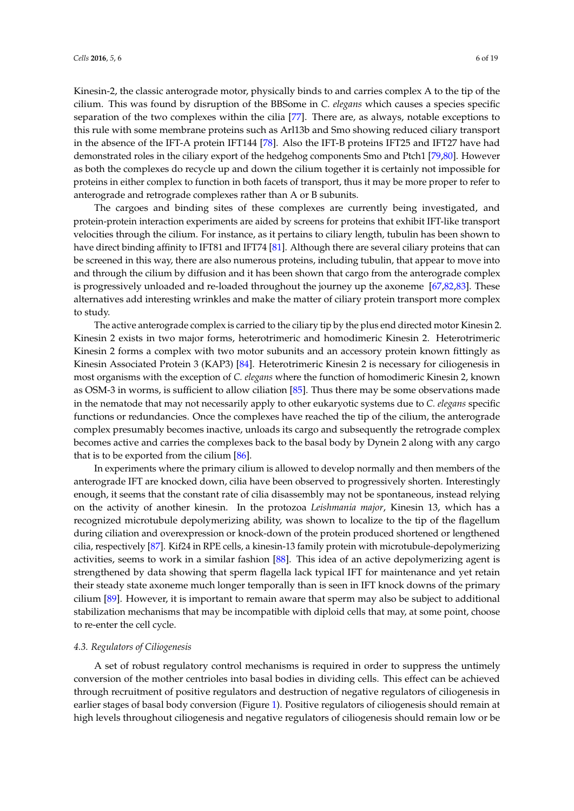Kinesin-2, the classic anterograde motor, physically binds to and carries complex A to the tip of the cilium. This was found by disruption of the BBSome in *C. elegans* which causes a species specific separation of the two complexes within the cilia [\[77\]](#page-14-7). There are, as always, notable exceptions to this rule with some membrane proteins such as Arl13b and Smo showing reduced ciliary transport in the absence of the IFT-A protein IFT144 [\[78\]](#page-14-8). Also the IFT-B proteins IFT25 and IFT27 have had demonstrated roles in the ciliary export of the hedgehog components Smo and Ptch1 [\[79](#page-14-9)[,80\]](#page-14-10). However as both the complexes do recycle up and down the cilium together it is certainly not impossible for proteins in either complex to function in both facets of transport, thus it may be more proper to refer to anterograde and retrograde complexes rather than A or B subunits.

The cargoes and binding sites of these complexes are currently being investigated, and protein-protein interaction experiments are aided by screens for proteins that exhibit IFT-like transport velocities through the cilium. For instance, as it pertains to ciliary length, tubulin has been shown to have direct binding affinity to IFT81 and IFT74 [\[81\]](#page-14-11). Although there are several ciliary proteins that can be screened in this way, there are also numerous proteins, including tubulin, that appear to move into and through the cilium by diffusion and it has been shown that cargo from the anterograde complex is progressively unloaded and re-loaded throughout the journey up the axoneme [\[67](#page-13-15)[,82](#page-14-12)[,83\]](#page-14-13). These alternatives add interesting wrinkles and make the matter of ciliary protein transport more complex to study.

The active anterograde complex is carried to the ciliary tip by the plus end directed motor Kinesin 2. Kinesin 2 exists in two major forms, heterotrimeric and homodimeric Kinesin 2. Heterotrimeric Kinesin 2 forms a complex with two motor subunits and an accessory protein known fittingly as Kinesin Associated Protein 3 (KAP3) [\[84\]](#page-14-14). Heterotrimeric Kinesin 2 is necessary for ciliogenesis in most organisms with the exception of *C. elegans* where the function of homodimeric Kinesin 2, known as OSM-3 in worms, is sufficient to allow ciliation [\[85\]](#page-14-15). Thus there may be some observations made in the nematode that may not necessarily apply to other eukaryotic systems due to *C. elegans* specific functions or redundancies. Once the complexes have reached the tip of the cilium, the anterograde complex presumably becomes inactive, unloads its cargo and subsequently the retrograde complex becomes active and carries the complexes back to the basal body by Dynein 2 along with any cargo that is to be exported from the cilium [\[86\]](#page-14-16).

In experiments where the primary cilium is allowed to develop normally and then members of the anterograde IFT are knocked down, cilia have been observed to progressively shorten. Interestingly enough, it seems that the constant rate of cilia disassembly may not be spontaneous, instead relying on the activity of another kinesin. In the protozoa *Leishmania major*, Kinesin 13, which has a recognized microtubule depolymerizing ability, was shown to localize to the tip of the flagellum during ciliation and overexpression or knock-down of the protein produced shortened or lengthened cilia, respectively [\[87\]](#page-14-17). Kif24 in RPE cells, a kinesin-13 family protein with microtubule-depolymerizing activities, seems to work in a similar fashion [\[88\]](#page-14-18). This idea of an active depolymerizing agent is strengthened by data showing that sperm flagella lack typical IFT for maintenance and yet retain their steady state axoneme much longer temporally than is seen in IFT knock downs of the primary cilium [\[89\]](#page-15-0). However, it is important to remain aware that sperm may also be subject to additional stabilization mechanisms that may be incompatible with diploid cells that may, at some point, choose to re-enter the cell cycle.

### *4.3. Regulators of Ciliogenesis*

A set of robust regulatory control mechanisms is required in order to suppress the untimely conversion of the mother centrioles into basal bodies in dividing cells. This effect can be achieved through recruitment of positive regulators and destruction of negative regulators of ciliogenesis in earlier stages of basal body conversion (Figure [1\)](#page-3-0). Positive regulators of ciliogenesis should remain at high levels throughout ciliogenesis and negative regulators of ciliogenesis should remain low or be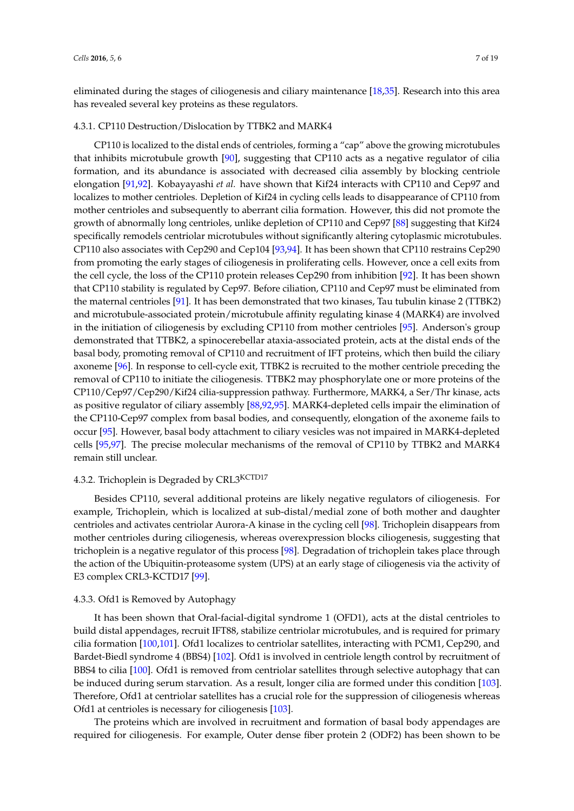eliminated during the stages of ciliogenesis and ciliary maintenance [\[18](#page-11-21)[,35\]](#page-12-7). Research into this area has revealed several key proteins as these regulators.

### 4.3.1. CP110 Destruction/Dislocation by TTBK2 and MARK4

CP110 is localized to the distal ends of centrioles, forming a "cap" above the growing microtubules that inhibits microtubule growth [\[90\]](#page-15-1), suggesting that CP110 acts as a negative regulator of cilia formation, and its abundance is associated with decreased cilia assembly by blocking centriole elongation [\[91,](#page-15-2)[92\]](#page-15-3). Kobayayashi *et al.* have shown that Kif24 interacts with CP110 and Cep97 and localizes to mother centrioles. Depletion of Kif24 in cycling cells leads to disappearance of CP110 from mother centrioles and subsequently to aberrant cilia formation. However, this did not promote the growth of abnormally long centrioles, unlike depletion of CP110 and Cep97 [\[88\]](#page-14-18) suggesting that Kif24 specifically remodels centriolar microtubules without significantly altering cytoplasmic microtubules. CP110 also associates with Cep290 and Cep104 [\[93](#page-15-4)[,94\]](#page-15-5). It has been shown that CP110 restrains Cep290 from promoting the early stages of ciliogenesis in proliferating cells. However, once a cell exits from the cell cycle, the loss of the CP110 protein releases Cep290 from inhibition [\[92\]](#page-15-3). It has been shown that CP110 stability is regulated by Cep97. Before ciliation, CP110 and Cep97 must be eliminated from the maternal centrioles [\[91\]](#page-15-2). It has been demonstrated that two kinases, Tau tubulin kinase 2 (TTBK2) and microtubule-associated protein/microtubule affinity regulating kinase 4 (MARK4) are involved in the initiation of ciliogenesis by excluding CP110 from mother centrioles [\[95\]](#page-15-6). Anderson's group demonstrated that TTBK2, a spinocerebellar ataxia-associated protein, acts at the distal ends of the basal body, promoting removal of CP110 and recruitment of IFT proteins, which then build the ciliary axoneme [\[96\]](#page-15-7). In response to cell-cycle exit, TTBK2 is recruited to the mother centriole preceding the removal of CP110 to initiate the ciliogenesis. TTBK2 may phosphorylate one or more proteins of the CP110/Cep97/Cep290/Kif24 cilia-suppression pathway. Furthermore, MARK4, a Ser/Thr kinase, acts as positive regulator of ciliary assembly [\[88](#page-14-18)[,92,](#page-15-3)[95\]](#page-15-6). MARK4-depleted cells impair the elimination of the CP110-Cep97 complex from basal bodies, and consequently, elongation of the axoneme fails to occur [\[95\]](#page-15-6). However, basal body attachment to ciliary vesicles was not impaired in MARK4-depleted cells [\[95](#page-15-6)[,97\]](#page-15-8). The precise molecular mechanisms of the removal of CP110 by TTBK2 and MARK4 remain still unclear.

## 4.3.2. Trichoplein is Degraded by CRL3<sup>KCTD17</sup>

Besides CP110, several additional proteins are likely negative regulators of ciliogenesis. For example, Trichoplein, which is localized at sub-distal/medial zone of both mother and daughter centrioles and activates centriolar Aurora-A kinase in the cycling cell [\[98\]](#page-15-9). Trichoplein disappears from mother centrioles during ciliogenesis, whereas overexpression blocks ciliogenesis, suggesting that trichoplein is a negative regulator of this process [\[98\]](#page-15-9). Degradation of trichoplein takes place through the action of the Ubiquitin-proteasome system (UPS) at an early stage of ciliogenesis via the activity of E3 complex CRL3-KCTD17 [\[99\]](#page-15-10).

#### 4.3.3. Ofd1 is Removed by Autophagy

It has been shown that Oral-facial-digital syndrome 1 (OFD1), acts at the distal centrioles to build distal appendages, recruit IFT88, stabilize centriolar microtubules, and is required for primary cilia formation [\[100](#page-15-11)[,101\]](#page-15-12). Ofd1 localizes to centriolar satellites, interacting with PCM1, Cep290, and Bardet-Biedl syndrome 4 (BBS4) [\[102\]](#page-15-13). Ofd1 is involved in centriole length control by recruitment of BBS4 to cilia [\[100\]](#page-15-11). Ofd1 is removed from centriolar satellites through selective autophagy that can be induced during serum starvation. As a result, longer cilia are formed under this condition [\[103\]](#page-15-14). Therefore, Ofd1 at centriolar satellites has a crucial role for the suppression of ciliogenesis whereas Ofd1 at centrioles is necessary for ciliogenesis [\[103\]](#page-15-14).

The proteins which are involved in recruitment and formation of basal body appendages are required for ciliogenesis. For example, Outer dense fiber protein 2 (ODF2) has been shown to be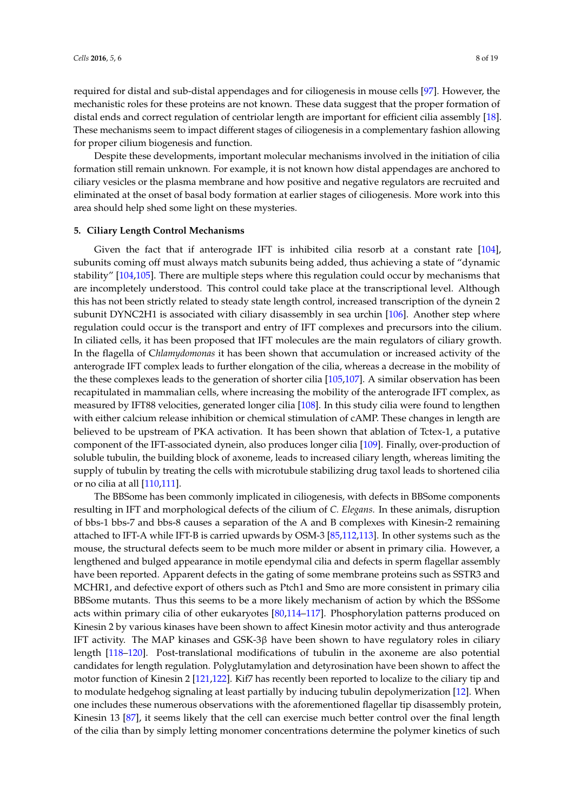required for distal and sub-distal appendages and for ciliogenesis in mouse cells [\[97\]](#page-15-8). However, the mechanistic roles for these proteins are not known. These data suggest that the proper formation of distal ends and correct regulation of centriolar length are important for efficient cilia assembly [\[18\]](#page-11-21). These mechanisms seem to impact different stages of ciliogenesis in a complementary fashion allowing for proper cilium biogenesis and function.

Despite these developments, important molecular mechanisms involved in the initiation of cilia formation still remain unknown. For example, it is not known how distal appendages are anchored to ciliary vesicles or the plasma membrane and how positive and negative regulators are recruited and eliminated at the onset of basal body formation at earlier stages of ciliogenesis. More work into this area should help shed some light on these mysteries.

### **5. Ciliary Length Control Mechanisms**

Given the fact that if anterograde IFT is inhibited cilia resorb at a constant rate [\[104\]](#page-15-15), subunits coming off must always match subunits being added, thus achieving a state of "dynamic stability" [\[104,](#page-15-15)[105\]](#page-15-16). There are multiple steps where this regulation could occur by mechanisms that are incompletely understood. This control could take place at the transcriptional level. Although this has not been strictly related to steady state length control, increased transcription of the dynein 2 subunit DYNC2H1 is associated with ciliary disassembly in sea urchin [\[106\]](#page-15-17). Another step where regulation could occur is the transport and entry of IFT complexes and precursors into the cilium. In ciliated cells, it has been proposed that IFT molecules are the main regulators of ciliary growth. In the flagella of C*hlamydomonas* it has been shown that accumulation or increased activity of the anterograde IFT complex leads to further elongation of the cilia, whereas a decrease in the mobility of the these complexes leads to the generation of shorter cilia [\[105](#page-15-16)[,107\]](#page-15-18). A similar observation has been recapitulated in mammalian cells, where increasing the mobility of the anterograde IFT complex, as measured by IFT88 velocities, generated longer cilia [\[108\]](#page-15-19). In this study cilia were found to lengthen with either calcium release inhibition or chemical stimulation of cAMP. These changes in length are believed to be upstream of PKA activation. It has been shown that ablation of Tctex-1, a putative component of the IFT-associated dynein, also produces longer cilia [\[109\]](#page-15-20). Finally, over-production of soluble tubulin, the building block of axoneme, leads to increased ciliary length, whereas limiting the supply of tubulin by treating the cells with microtubule stabilizing drug taxol leads to shortened cilia or no cilia at all [\[110](#page-16-0)[,111\]](#page-16-1).

The BBSome has been commonly implicated in ciliogenesis, with defects in BBSome components resulting in IFT and morphological defects of the cilium of *C. Elegans.* In these animals, disruption of bbs-1 bbs-7 and bbs-8 causes a separation of the A and B complexes with Kinesin-2 remaining attached to IFT-A while IFT-B is carried upwards by OSM-3 [\[85,](#page-14-15)[112](#page-16-2)[,113\]](#page-16-3). In other systems such as the mouse, the structural defects seem to be much more milder or absent in primary cilia. However, a lengthened and bulged appearance in motile ependymal cilia and defects in sperm flagellar assembly have been reported. Apparent defects in the gating of some membrane proteins such as SSTR3 and MCHR1, and defective export of others such as Ptch1 and Smo are more consistent in primary cilia BBSome mutants. Thus this seems to be a more likely mechanism of action by which the BSSome acts within primary cilia of other eukaryotes [\[80](#page-14-10)[,114–](#page-16-4)[117\]](#page-16-5). Phosphorylation patterns produced on Kinesin 2 by various kinases have been shown to affect Kinesin motor activity and thus anterograde IFT activity. The MAP kinases and GSK-3β have been shown to have regulatory roles in ciliary length [\[118–](#page-16-6)[120\]](#page-16-7). Post-translational modifications of tubulin in the axoneme are also potential candidates for length regulation. Polyglutamylation and detyrosination have been shown to affect the motor function of Kinesin 2 [\[121](#page-16-8)[,122\]](#page-16-9). Kif7 has recently been reported to localize to the ciliary tip and to modulate hedgehog signaling at least partially by inducing tubulin depolymerization [\[12\]](#page-11-7). When one includes these numerous observations with the aforementioned flagellar tip disassembly protein, Kinesin 13 [\[87\]](#page-14-17), it seems likely that the cell can exercise much better control over the final length of the cilia than by simply letting monomer concentrations determine the polymer kinetics of such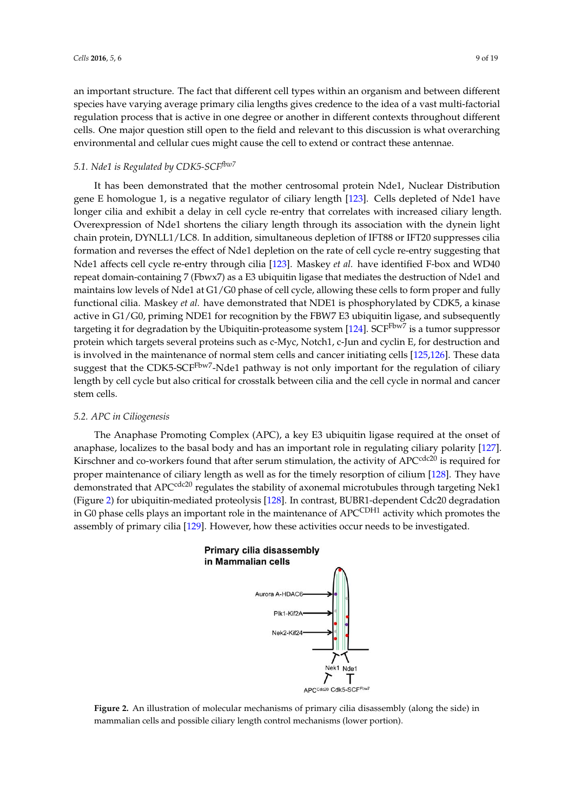an important structure. The fact that different cell types within an organism and between different species have varying average primary cilia lengths gives credence to the idea of a vast multi-factorial regulation process that is active in one degree or another in different contexts throughout different <sup>C</sup><sub>cells</sub>. One major question still open to the field and relevant to this discussion is what overarching environmental and cellular cues might cause the cell to extend or contract these antennae.

### *5.1. Nde1 is Regulated by CDK5-SCF<sup><i>fbw7*</sup></sup>

It has been demonstrated that the mother centrosomal protein Nde1, Nuclear Distribution gene E homologue 1, is a negative regulator of ciliary length [\[123\]](#page-16-10). Cells depleted of Nde1 have *5.1. Nde1 is Regulated by CDK5‐SCFfbw7* longer cilia and exhibit a delay in cell cycle re-entry that correlates with increased ciliary length. Overexpression of Nde1 shortens the ciliary length through its association with the dynein light chain protein, DYNLL1/LC8. In addition, simultaneous depletion of IFT88 or IFT20 suppresses cilia formation and reverses the effect of Nde1 depletion on the rate of cell cycle re-entry suggesting that Nde1 affects cell cycle re-entry through cilia [\[123\]](#page-16-10). Maskey *et al.* have identified F-box and WD40 repeat domain-containing 7 (Fbwx7) as a E3 ubiquitin ligase that mediates the destruction of Nde1 and maintains low levels of Nde1 at G1/G0 phase of cell cycle, allowing these cells to form proper and fully repeat domain and the contained the contained process of the state of the destruction of the destruction of the<br>functional cilia. Maskey *et al.* have demonstrated that NDE1 is phosphorylated by CDK5, a kinase active in G1/G0, priming NDE1 for recognition by the FBW7 E3 ubiquitin ligase, and subsequently targeting it for degradation by the Ubiquitin-proteasome system [\[124\]](#page-16-11). SCF<sup>Fbw7</sup> is a tumor suppressor protein which targets several proteins such as c-Myc, Notch1, c-Jun and cyclin E, for destruction and is involved in the maintenance of normal stem cells and cancer initiating cells [\[125](#page-16-12)[,126\]](#page-16-13). These data suggest that the CDK5-SCF<sup>Fbw7</sup>-Nde1 pathway is not only important for the regulation of ciliary length by cell cycle but also critical for crosstalk between cilia and the cell cycle in normal and cancer stem cells. and that maskey *come have demonstrated that TODT* is phosphoryiated by CDRs, a k  $r_{\rm c}$  corregulation of cycle but also critical for critical for critical for critical for critical for critical for crosstalk between cities and the cell cycle cycle cycle cycle cycle cycle cycle cycle cycle cycle cycl  $\sum_{i=1}^{n}$ 

## *5.2. APC in Ciliogenesis 5.2. APC in Ciliogenesis*

<span id="page-8-0"></span>The Anaphase Promoting Complex (APC), a key E3 ubiquitin ligase required at the onset of The Anaphase Promoting Complex (APC), a key E3 ubiquitin ligase required at the onset of anaphase, localizes to the basal body and has an important role in regulating ciliary polarity [\[127\]](#page-16-14). anaphase, localizes to the basal body and has an important role in regulating ciliary polarity [127]. Kirschner and co-workers found that after serum stimulation, the activity of APC<sup>cdc20</sup> is required for proper maintenance of ciliary length as well as for the timely resorption of cilium [\[128\]](#page-16-15). They have proper maintenance of ciliary length as well as for the timely resorption of cilium [128]. They have demonstrated that APC<sup>cdc20</sup> regulates the stability of axonemal microtubules through targeting Nek1 (Figure [2\)](#page-8-0) for ubiquitin-mediated proteolysis [\[128\]](#page-16-15). In contrast, BUBR1-dependent Cdc20 degradation (Figure 2) for ubiquitin‐mediated proteolysis [128]. In contrast, BUBR1‐dependent Cdc20 in G0 phase cells plays an important role in the maintenance of APC<sup>CDH1</sup> activity which promotes the assembly of primary cilia [\[129\]](#page-16-16). However, how these activities occur needs to be investigated. provide the assembly of proportion the mail term and the contract  $\alpha$  activity which promote



**Figure 2.** An illustration of molecular mechanisms of primary cilia disassembly (along the side) in **Figure 2.** An illustration of molecular mechanisms of primary cilia disassembly (along the side) in mammalian cells and possible ciliary length control mechanisms (lower portion). mammalian cells and possible ciliary length control mechanisms (lower portion).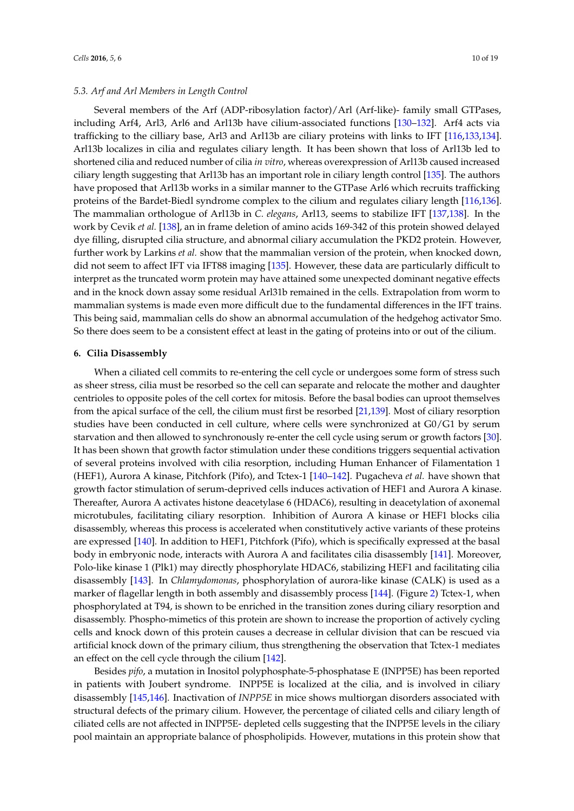#### *5.3. Arf and Arl Members in Length Control*

Several members of the Arf (ADP-ribosylation factor)/Arl (Arf-like)- family small GTPases, including Arf4, Arl3, Arl6 and Arl13b have cilium-associated functions [\[130](#page-17-0)[–132\]](#page-17-1). Arf4 acts via trafficking to the cilliary base, Arl3 and Arl13b are ciliary proteins with links to IFT [\[116,](#page-16-17)[133,](#page-17-2)[134\]](#page-17-3). Arl13b localizes in cilia and regulates ciliary length. It has been shown that loss of Arl13b led to shortened cilia and reduced number of cilia *in vitro*, whereas overexpression of Arl13b caused increased ciliary length suggesting that Arl13b has an important role in ciliary length control [\[135\]](#page-17-4). The authors have proposed that Arl13b works in a similar manner to the GTPase Arl6 which recruits trafficking proteins of the Bardet-Biedl syndrome complex to the cilium and regulates ciliary length [\[116,](#page-16-17)[136\]](#page-17-5). The mammalian orthologue of Arl13b in *C. elegans*, Arl13, seems to stabilize IFT [\[137](#page-17-6)[,138\]](#page-17-7). In the work by Cevik *et al.* [\[138\]](#page-17-7), an in frame deletion of amino acids 169-342 of this protein showed delayed dye filling, disrupted cilia structure, and abnormal ciliary accumulation the PKD2 protein. However, further work by Larkins *et al.* show that the mammalian version of the protein, when knocked down, did not seem to affect IFT via IFT88 imaging [\[135\]](#page-17-4). However, these data are particularly difficult to interpret as the truncated worm protein may have attained some unexpected dominant negative effects and in the knock down assay some residual Arl31b remained in the cells. Extrapolation from worm to mammalian systems is made even more difficult due to the fundamental differences in the IFT trains. This being said, mammalian cells do show an abnormal accumulation of the hedgehog activator Smo. So there does seem to be a consistent effect at least in the gating of proteins into or out of the cilium.

### **6. Cilia Disassembly**

When a ciliated cell commits to re-entering the cell cycle or undergoes some form of stress such as sheer stress, cilia must be resorbed so the cell can separate and relocate the mother and daughter centrioles to opposite poles of the cell cortex for mitosis. Before the basal bodies can uproot themselves from the apical surface of the cell, the cilium must first be resorbed [\[21,](#page-11-15)[139\]](#page-17-8). Most of ciliary resorption studies have been conducted in cell culture, where cells were synchronized at G0/G1 by serum starvation and then allowed to synchronously re-enter the cell cycle using serum or growth factors [\[30\]](#page-12-2). It has been shown that growth factor stimulation under these conditions triggers sequential activation of several proteins involved with cilia resorption, including Human Enhancer of Filamentation 1 (HEF1), Aurora A kinase, Pitchfork (Pifo), and Tctex-1 [\[140–](#page-17-9)[142\]](#page-17-10). Pugacheva *et al.* have shown that growth factor stimulation of serum-deprived cells induces activation of HEF1 and Aurora A kinase. Thereafter, Aurora A activates histone deacetylase 6 (HDAC6), resulting in deacetylation of axonemal microtubules, facilitating ciliary resorption. Inhibition of Aurora A kinase or HEF1 blocks cilia disassembly, whereas this process is accelerated when constitutively active variants of these proteins are expressed [\[140\]](#page-17-9). In addition to HEF1, Pitchfork (Pifo), which is specifically expressed at the basal body in embryonic node, interacts with Aurora A and facilitates cilia disassembly [\[141\]](#page-17-11). Moreover, Polo-like kinase 1 (Plk1) may directly phosphorylate HDAC6, stabilizing HEF1 and facilitating cilia disassembly [\[143\]](#page-17-12). In *Chlamydomonas*, phosphorylation of aurora-like kinase (CALK) is used as a marker of flagellar length in both assembly and disassembly process [\[144\]](#page-17-13). (Figure [2\)](#page-8-0) Tctex-1, when phosphorylated at T94, is shown to be enriched in the transition zones during ciliary resorption and disassembly. Phospho-mimetics of this protein are shown to increase the proportion of actively cycling cells and knock down of this protein causes a decrease in cellular division that can be rescued via artificial knock down of the primary cilium, thus strengthening the observation that Tctex-1 mediates an effect on the cell cycle through the cilium [\[142\]](#page-17-10).

Besides *pifo*, a mutation in Inositol polyphosphate-5-phosphatase E (INPP5E) has been reported in patients with Joubert syndrome. INPP5E is localized at the cilia, and is involved in ciliary disassembly [\[145,](#page-17-14)[146\]](#page-17-15). Inactivation of *INPP5E* in mice shows multiorgan disorders associated with structural defects of the primary cilium. However, the percentage of ciliated cells and ciliary length of ciliated cells are not affected in INPP5E- depleted cells suggesting that the INPP5E levels in the ciliary pool maintain an appropriate balance of phospholipids. However, mutations in this protein show that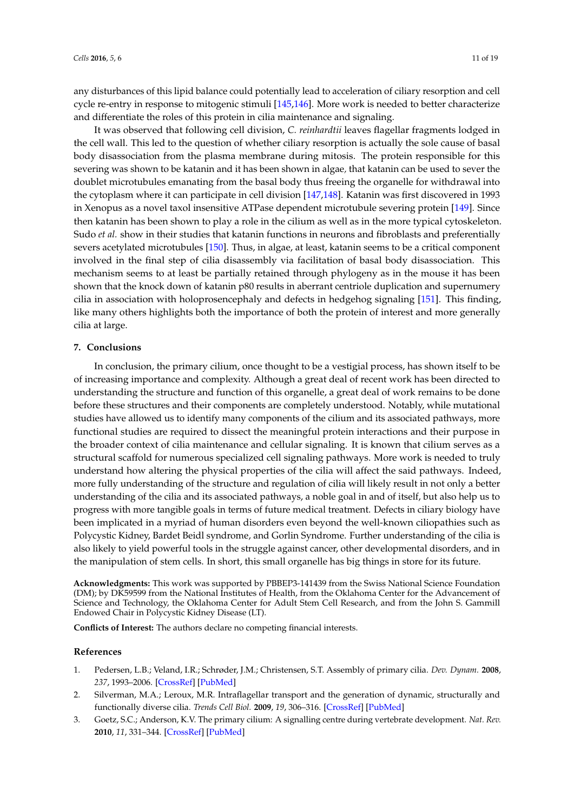any disturbances of this lipid balance could potentially lead to acceleration of ciliary resorption and cell cycle re-entry in response to mitogenic stimuli [\[145](#page-17-14)[,146\]](#page-17-15). More work is needed to better characterize and differentiate the roles of this protein in cilia maintenance and signaling.

It was observed that following cell division, *C. reinhardtii* leaves flagellar fragments lodged in the cell wall. This led to the question of whether ciliary resorption is actually the sole cause of basal body disassociation from the plasma membrane during mitosis. The protein responsible for this severing was shown to be katanin and it has been shown in algae*,* that katanin can be used to sever the doublet microtubules emanating from the basal body thus freeing the organelle for withdrawal into the cytoplasm where it can participate in cell division [\[147](#page-17-16)[,148\]](#page-17-17). Katanin was first discovered in 1993 in Xenopus as a novel taxol insensitive ATPase dependent microtubule severing protein [\[149\]](#page-17-18). Since then katanin has been shown to play a role in the cilium as well as in the more typical cytoskeleton. Sudo *et al.* show in their studies that katanin functions in neurons and fibroblasts and preferentially severs acetylated microtubules [\[150\]](#page-17-19). Thus, in algae, at least, katanin seems to be a critical component involved in the final step of cilia disassembly via facilitation of basal body disassociation. This mechanism seems to at least be partially retained through phylogeny as in the mouse it has been shown that the knock down of katanin p80 results in aberrant centriole duplication and supernumery cilia in association with holoprosencephaly and defects in hedgehog signaling [\[151\]](#page-18-0). This finding, like many others highlights both the importance of both the protein of interest and more generally cilia at large.

### **7. Conclusions**

In conclusion, the primary cilium, once thought to be a vestigial process, has shown itself to be of increasing importance and complexity. Although a great deal of recent work has been directed to understanding the structure and function of this organelle, a great deal of work remains to be done before these structures and their components are completely understood. Notably, while mutational studies have allowed us to identify many components of the cilium and its associated pathways, more functional studies are required to dissect the meaningful protein interactions and their purpose in the broader context of cilia maintenance and cellular signaling. It is known that cilium serves as a structural scaffold for numerous specialized cell signaling pathways. More work is needed to truly understand how altering the physical properties of the cilia will affect the said pathways. Indeed, more fully understanding of the structure and regulation of cilia will likely result in not only a better understanding of the cilia and its associated pathways, a noble goal in and of itself, but also help us to progress with more tangible goals in terms of future medical treatment. Defects in ciliary biology have been implicated in a myriad of human disorders even beyond the well-known ciliopathies such as Polycystic Kidney, Bardet Beidl syndrome, and Gorlin Syndrome. Further understanding of the cilia is also likely to yield powerful tools in the struggle against cancer, other developmental disorders, and in the manipulation of stem cells. In short, this small organelle has big things in store for its future.

**Acknowledgments:** This work was supported by PBBEP3-141439 from the Swiss National Science Foundation (DM); by DK59599 from the National Institutes of Health, from the Oklahoma Center for the Advancement of Science and Technology, the Oklahoma Center for Adult Stem Cell Research, and from the John S. Gammill Endowed Chair in Polycystic Kidney Disease (LT).

**Conflicts of Interest:** The authors declare no competing financial interests.

### **References**

- <span id="page-10-0"></span>1. Pedersen, L.B.; Veland, I.R.; Schrøder, J.M.; Christensen, S.T. Assembly of primary cilia. *Dev. Dynam.* **2008**, *237*, 1993–2006. [\[CrossRef\]](http://dx.doi.org/10.1002/dvdy.21521) [\[PubMed\]](http://www.ncbi.nlm.nih.gov/pubmed/18393310)
- <span id="page-10-1"></span>2. Silverman, M.A.; Leroux, M.R. Intraflagellar transport and the generation of dynamic, structurally and functionally diverse cilia. *Trends Cell Biol.* **2009**, *19*, 306–316. [\[CrossRef\]](http://dx.doi.org/10.1016/j.tcb.2009.04.002) [\[PubMed\]](http://www.ncbi.nlm.nih.gov/pubmed/19560357)
- <span id="page-10-2"></span>3. Goetz, S.C.; Anderson, K.V. The primary cilium: A signalling centre during vertebrate development. *Nat. Rev.* **2010**, *11*, 331–344. [\[CrossRef\]](http://dx.doi.org/10.1038/nrg2774) [\[PubMed\]](http://www.ncbi.nlm.nih.gov/pubmed/20395968)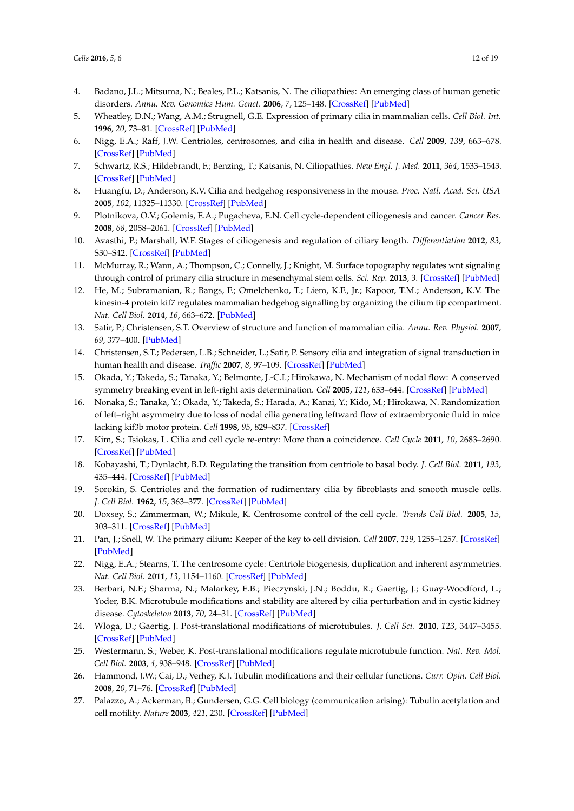- <span id="page-11-0"></span>4. Badano, J.L.; Mitsuma, N.; Beales, P.L.; Katsanis, N. The ciliopathies: An emerging class of human genetic disorders. *Annu. Rev. Genomics Hum. Genet.* **2006**, *7*, 125–148. [\[CrossRef\]](http://dx.doi.org/10.1146/annurev.genom.7.080505.115610) [\[PubMed\]](http://www.ncbi.nlm.nih.gov/pubmed/16722803)
- <span id="page-11-1"></span>5. Wheatley, D.N.; Wang, A.M.; Strugnell, G.E. Expression of primary cilia in mammalian cells. *Cell Biol. Int.* **1996**, *20*, 73–81. [\[CrossRef\]](http://dx.doi.org/10.1006/cbir.1996.0011) [\[PubMed\]](http://www.ncbi.nlm.nih.gov/pubmed/8936410)
- <span id="page-11-2"></span>6. Nigg, E.A.; Raff, J.W. Centrioles, centrosomes, and cilia in health and disease. *Cell* **2009**, *139*, 663–678. [\[CrossRef\]](http://dx.doi.org/10.1016/j.cell.2009.10.036) [\[PubMed\]](http://www.ncbi.nlm.nih.gov/pubmed/19914163)
- <span id="page-11-3"></span>7. Schwartz, R.S.; Hildebrandt, F.; Benzing, T.; Katsanis, N. Ciliopathies. *New Engl. J. Med.* **2011**, *364*, 1533–1543. [\[CrossRef\]](http://dx.doi.org/10.1056/NEJMra1010172) [\[PubMed\]](http://www.ncbi.nlm.nih.gov/pubmed/21506742)
- <span id="page-11-4"></span>8. Huangfu, D.; Anderson, K.V. Cilia and hedgehog responsiveness in the mouse. *Proc. Natl. Acad. Sci. USA* **2005**, *102*, 11325–11330. [\[CrossRef\]](http://dx.doi.org/10.1073/pnas.0505328102) [\[PubMed\]](http://www.ncbi.nlm.nih.gov/pubmed/16061793)
- <span id="page-11-5"></span>9. Plotnikova, O.V.; Golemis, E.A.; Pugacheva, E.N. Cell cycle-dependent ciliogenesis and cancer. *Cancer Res.* **2008**, *68*, 2058–2061. [\[CrossRef\]](http://dx.doi.org/10.1158/0008-5472.CAN-07-5838) [\[PubMed\]](http://www.ncbi.nlm.nih.gov/pubmed/18381407)
- <span id="page-11-6"></span>10. Avasthi, P.; Marshall, W.F. Stages of ciliogenesis and regulation of ciliary length. *Differentiation* **2012**, *83*, S30–S42. [\[CrossRef\]](http://dx.doi.org/10.1016/j.diff.2011.11.015) [\[PubMed\]](http://www.ncbi.nlm.nih.gov/pubmed/22178116)
- <span id="page-11-11"></span>11. McMurray, R.; Wann, A.; Thompson, C.; Connelly, J.; Knight, M. Surface topography regulates wnt signaling through control of primary cilia structure in mesenchymal stem cells. *Sci. Rep.* **2013**, *3*. [\[CrossRef\]](http://dx.doi.org/10.1038/srep03545) [\[PubMed\]](http://www.ncbi.nlm.nih.gov/pubmed/24346024)
- <span id="page-11-7"></span>12. He, M.; Subramanian, R.; Bangs, F.; Omelchenko, T.; Liem, K.F., Jr.; Kapoor, T.M.; Anderson, K.V. The kinesin-4 protein kif7 regulates mammalian hedgehog signalling by organizing the cilium tip compartment. *Nat. Cell Biol.* **2014**, *16*, 663–672. [\[PubMed\]](http://www.ncbi.nlm.nih.gov/pubmed/24952464)
- <span id="page-11-8"></span>13. Satir, P.; Christensen, S.T. Overview of structure and function of mammalian cilia. *Annu. Rev. Physiol.* **2007**, *69*, 377–400. [\[PubMed\]](http://www.ncbi.nlm.nih.gov/pubmed/17009929)
- 14. Christensen, S.T.; Pedersen, L.B.; Schneider, L.; Satir, P. Sensory cilia and integration of signal transduction in human health and disease. *Traffic* **2007**, *8*, 97–109. [\[CrossRef\]](http://dx.doi.org/10.1111/j.1600-0854.2006.00516.x) [\[PubMed\]](http://www.ncbi.nlm.nih.gov/pubmed/17241444)
- <span id="page-11-9"></span>15. Okada, Y.; Takeda, S.; Tanaka, Y.; Belmonte, J.-C.I.; Hirokawa, N. Mechanism of nodal flow: A conserved symmetry breaking event in left-right axis determination. *Cell* **2005**, *121*, 633–644. [\[CrossRef\]](http://dx.doi.org/10.1016/j.cell.2005.04.008) [\[PubMed\]](http://www.ncbi.nlm.nih.gov/pubmed/15907475)
- <span id="page-11-10"></span>16. Nonaka, S.; Tanaka, Y.; Okada, Y.; Takeda, S.; Harada, A.; Kanai, Y.; Kido, M.; Hirokawa, N. Randomization of left–right asymmetry due to loss of nodal cilia generating leftward flow of extraembryonic fluid in mice lacking kif3b motor protein. *Cell* **1998**, *95*, 829–837. [\[CrossRef\]](http://dx.doi.org/10.1016/S0092-8674(00)81705-5)
- <span id="page-11-12"></span>17. Kim, S.; Tsiokas, L. Cilia and cell cycle re-entry: More than a coincidence. *Cell Cycle* **2011**, *10*, 2683–2690. [\[CrossRef\]](http://dx.doi.org/10.4161/cc.10.16.17009) [\[PubMed\]](http://www.ncbi.nlm.nih.gov/pubmed/21814045)
- <span id="page-11-21"></span>18. Kobayashi, T.; Dynlacht, B.D. Regulating the transition from centriole to basal body. *J. Cell Biol.* **2011**, *193*, 435–444. [\[CrossRef\]](http://dx.doi.org/10.1083/jcb.201101005) [\[PubMed\]](http://www.ncbi.nlm.nih.gov/pubmed/21536747)
- <span id="page-11-13"></span>19. Sorokin, S. Centrioles and the formation of rudimentary cilia by fibroblasts and smooth muscle cells. *J. Cell Biol.* **1962**, *15*, 363–377. [\[CrossRef\]](http://dx.doi.org/10.1083/jcb.15.2.363) [\[PubMed\]](http://www.ncbi.nlm.nih.gov/pubmed/13978319)
- <span id="page-11-14"></span>20. Doxsey, S.; Zimmerman, W.; Mikule, K. Centrosome control of the cell cycle. *Trends Cell Biol.* **2005**, *15*, 303–311. [\[CrossRef\]](http://dx.doi.org/10.1016/j.tcb.2005.04.008) [\[PubMed\]](http://www.ncbi.nlm.nih.gov/pubmed/15953548)
- <span id="page-11-15"></span>21. Pan, J.; Snell, W. The primary cilium: Keeper of the key to cell division. *Cell* **2007**, *129*, 1255–1257. [\[CrossRef\]](http://dx.doi.org/10.1016/j.cell.2007.06.018) [\[PubMed\]](http://www.ncbi.nlm.nih.gov/pubmed/17604715)
- <span id="page-11-16"></span>22. Nigg, E.A.; Stearns, T. The centrosome cycle: Centriole biogenesis, duplication and inherent asymmetries. *Nat. Cell Biol.* **2011**, *13*, 1154–1160. [\[CrossRef\]](http://dx.doi.org/10.1038/ncb2345) [\[PubMed\]](http://www.ncbi.nlm.nih.gov/pubmed/21968988)
- <span id="page-11-17"></span>23. Berbari, N.F.; Sharma, N.; Malarkey, E.B.; Pieczynski, J.N.; Boddu, R.; Gaertig, J.; Guay-Woodford, L.; Yoder, B.K. Microtubule modifications and stability are altered by cilia perturbation and in cystic kidney disease. *Cytoskeleton* **2013**, *70*, 24–31. [\[CrossRef\]](http://dx.doi.org/10.1002/cm.21088) [\[PubMed\]](http://www.ncbi.nlm.nih.gov/pubmed/23124988)
- 24. Wloga, D.; Gaertig, J. Post-translational modifications of microtubules. *J. Cell Sci.* **2010**, *123*, 3447–3455. [\[CrossRef\]](http://dx.doi.org/10.1242/jcs.063727) [\[PubMed\]](http://www.ncbi.nlm.nih.gov/pubmed/20930140)
- <span id="page-11-18"></span>25. Westermann, S.; Weber, K. Post-translational modifications regulate microtubule function. *Nat. Rev. Mol. Cell Biol.* **2003**, *4*, 938–948. [\[CrossRef\]](http://dx.doi.org/10.1038/nrm1260) [\[PubMed\]](http://www.ncbi.nlm.nih.gov/pubmed/14685172)
- <span id="page-11-19"></span>26. Hammond, J.W.; Cai, D.; Verhey, K.J. Tubulin modifications and their cellular functions. *Curr. Opin. Cell Biol.* **2008**, *20*, 71–76. [\[CrossRef\]](http://dx.doi.org/10.1016/j.ceb.2007.11.010) [\[PubMed\]](http://www.ncbi.nlm.nih.gov/pubmed/18226514)
- <span id="page-11-20"></span>27. Palazzo, A.; Ackerman, B.; Gundersen, G.G. Cell biology (communication arising): Tubulin acetylation and cell motility. *Nature* **2003**, *421*, 230. [\[CrossRef\]](http://dx.doi.org/10.1038/421230a) [\[PubMed\]](http://www.ncbi.nlm.nih.gov/pubmed/12529632)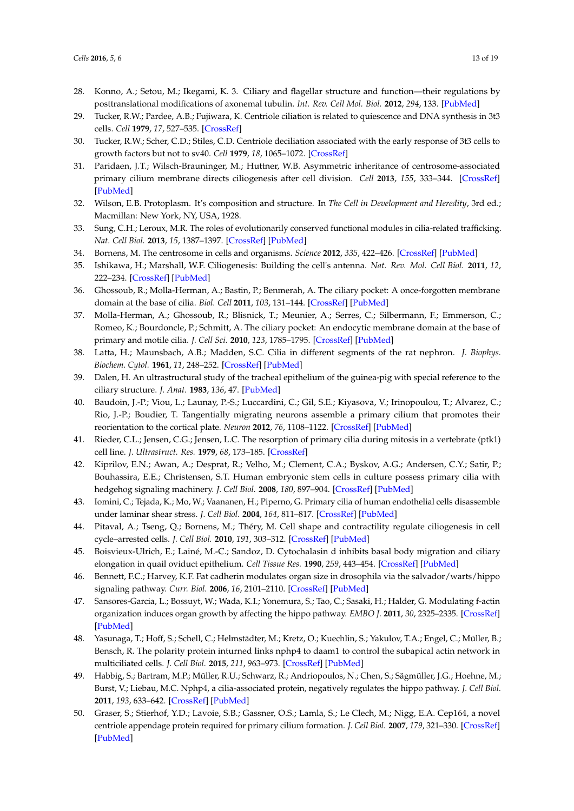- <span id="page-12-0"></span>28. Konno, A.; Setou, M.; Ikegami, K. 3. Ciliary and flagellar structure and function—their regulations by posttranslational modifications of axonemal tubulin. *Int. Rev. Cell Mol. Biol.* **2012**, *294*, 133. [\[PubMed\]](http://www.ncbi.nlm.nih.gov/pubmed/22364873)
- <span id="page-12-1"></span>29. Tucker, R.W.; Pardee, A.B.; Fujiwara, K. Centriole ciliation is related to quiescence and DNA synthesis in 3t3 cells. *Cell* **1979**, *17*, 527–535. [\[CrossRef\]](http://dx.doi.org/10.1016/0092-8674(79)90261-7)
- <span id="page-12-2"></span>30. Tucker, R.W.; Scher, C.D.; Stiles, C.D. Centriole deciliation associated with the early response of 3t3 cells to growth factors but not to sv40. *Cell* **1979**, *18*, 1065–1072. [\[CrossRef\]](http://dx.doi.org/10.1016/0092-8674(79)90219-8)
- <span id="page-12-3"></span>31. Paridaen, J.T.; Wilsch-Brauninger, M.; Huttner, W.B. Asymmetric inheritance of centrosome-associated primary cilium membrane directs ciliogenesis after cell division. *Cell* **2013**, *155*, 333–344. [\[CrossRef\]](http://dx.doi.org/10.1016/j.cell.2013.08.060) [\[PubMed\]](http://www.ncbi.nlm.nih.gov/pubmed/24120134)
- <span id="page-12-4"></span>32. Wilson, E.B. Protoplasm. It's composition and structure. In *The Cell in Development and Heredity*, 3rd ed.; Macmillan: New York, NY, USA, 1928.
- <span id="page-12-5"></span>33. Sung, C.H.; Leroux, M.R. The roles of evolutionarily conserved functional modules in cilia-related trafficking. *Nat. Cell Biol.* **2013**, *15*, 1387–1397. [\[CrossRef\]](http://dx.doi.org/10.1038/ncb2888) [\[PubMed\]](http://www.ncbi.nlm.nih.gov/pubmed/24296415)
- <span id="page-12-6"></span>34. Bornens, M. The centrosome in cells and organisms. *Science* **2012**, *335*, 422–426. [\[CrossRef\]](http://dx.doi.org/10.1126/science.1209037) [\[PubMed\]](http://www.ncbi.nlm.nih.gov/pubmed/22282802)
- <span id="page-12-7"></span>35. Ishikawa, H.; Marshall, W.F. Ciliogenesis: Building the cell's antenna. *Nat. Rev. Mol. Cell Biol.* **2011**, *12*, 222–234. [\[CrossRef\]](http://dx.doi.org/10.1038/nrm3085) [\[PubMed\]](http://www.ncbi.nlm.nih.gov/pubmed/21427764)
- <span id="page-12-8"></span>36. Ghossoub, R.; Molla-Herman, A.; Bastin, P.; Benmerah, A. The ciliary pocket: A once-forgotten membrane domain at the base of cilia. *Biol. Cell* **2011**, *103*, 131–144. [\[CrossRef\]](http://dx.doi.org/10.1042/BC20100128) [\[PubMed\]](http://www.ncbi.nlm.nih.gov/pubmed/21275905)
- <span id="page-12-9"></span>37. Molla-Herman, A.; Ghossoub, R.; Blisnick, T.; Meunier, A.; Serres, C.; Silbermann, F.; Emmerson, C.; Romeo, K.; Bourdoncle, P.; Schmitt, A. The ciliary pocket: An endocytic membrane domain at the base of primary and motile cilia. *J. Cell Sci.* **2010**, *123*, 1785–1795. [\[CrossRef\]](http://dx.doi.org/10.1242/jcs.059519) [\[PubMed\]](http://www.ncbi.nlm.nih.gov/pubmed/20427320)
- <span id="page-12-10"></span>38. Latta, H.; Maunsbach, A.B.; Madden, S.C. Cilia in different segments of the rat nephron. *J. Biophys. Biochem. Cytol.* **1961**, *11*, 248–252. [\[CrossRef\]](http://dx.doi.org/10.1083/jcb.11.1.248) [\[PubMed\]](http://www.ncbi.nlm.nih.gov/pubmed/14462704)
- <span id="page-12-11"></span>39. Dalen, H. An ultrastructural study of the tracheal epithelium of the guinea-pig with special reference to the ciliary structure. *J. Anat.* **1983**, *136*, 47. [\[PubMed\]](http://www.ncbi.nlm.nih.gov/pubmed/6833121)
- <span id="page-12-12"></span>40. Baudoin, J.-P.; Viou, L.; Launay, P.-S.; Luccardini, C.; Gil, S.E.; Kiyasova, V.; Irinopoulou, T.; Alvarez, C.; Rio, J.-P.; Boudier, T. Tangentially migrating neurons assemble a primary cilium that promotes their reorientation to the cortical plate. *Neuron* **2012**, *76*, 1108–1122. [\[CrossRef\]](http://dx.doi.org/10.1016/j.neuron.2012.10.027) [\[PubMed\]](http://www.ncbi.nlm.nih.gov/pubmed/23259947)
- <span id="page-12-13"></span>41. Rieder, C.L.; Jensen, C.G.; Jensen, L.C. The resorption of primary cilia during mitosis in a vertebrate (ptk1) cell line. *J. Ultrastruct. Res.* **1979**, *68*, 173–185. [\[CrossRef\]](http://dx.doi.org/10.1016/S0022-5320(79)90152-7)
- <span id="page-12-14"></span>42. Kiprilov, E.N.; Awan, A.; Desprat, R.; Velho, M.; Clement, C.A.; Byskov, A.G.; Andersen, C.Y.; Satir, P.; Bouhassira, E.E.; Christensen, S.T. Human embryonic stem cells in culture possess primary cilia with hedgehog signaling machinery. *J. Cell Biol.* **2008**, *180*, 897–904. [\[CrossRef\]](http://dx.doi.org/10.1083/jcb.200706028) [\[PubMed\]](http://www.ncbi.nlm.nih.gov/pubmed/18332216)
- <span id="page-12-15"></span>43. Iomini, C.; Tejada, K.; Mo, W.; Vaananen, H.; Piperno, G. Primary cilia of human endothelial cells disassemble under laminar shear stress. *J. Cell Biol.* **2004**, *164*, 811–817. [\[CrossRef\]](http://dx.doi.org/10.1083/jcb.200312133) [\[PubMed\]](http://www.ncbi.nlm.nih.gov/pubmed/15024030)
- <span id="page-12-16"></span>44. Pitaval, A.; Tseng, Q.; Bornens, M.; Théry, M. Cell shape and contractility regulate ciliogenesis in cell cycle–arrested cells. *J. Cell Biol.* **2010**, *191*, 303–312. [\[CrossRef\]](http://dx.doi.org/10.1083/jcb.201004003) [\[PubMed\]](http://www.ncbi.nlm.nih.gov/pubmed/20956379)
- <span id="page-12-17"></span>45. Boisvieux-Ulrich, E.; Lainé, M.-C.; Sandoz, D. Cytochalasin d inhibits basal body migration and ciliary elongation in quail oviduct epithelium. *Cell Tissue Res.* **1990**, *259*, 443–454. [\[CrossRef\]](http://dx.doi.org/10.1007/BF01740770) [\[PubMed\]](http://www.ncbi.nlm.nih.gov/pubmed/2317839)
- <span id="page-12-18"></span>46. Bennett, F.C.; Harvey, K.F. Fat cadherin modulates organ size in drosophila via the salvador/warts/hippo signaling pathway. *Curr. Biol.* **2006**, *16*, 2101–2110. [\[CrossRef\]](http://dx.doi.org/10.1016/j.cub.2006.09.045) [\[PubMed\]](http://www.ncbi.nlm.nih.gov/pubmed/17045801)
- <span id="page-12-19"></span>47. Sansores-Garcia, L.; Bossuyt, W.; Wada, K.I.; Yonemura, S.; Tao, C.; Sasaki, H.; Halder, G. Modulating f-actin organization induces organ growth by affecting the hippo pathway. *EMBO J.* **2011**, *30*, 2325–2335. [\[CrossRef\]](http://dx.doi.org/10.1038/emboj.2011.157) [\[PubMed\]](http://www.ncbi.nlm.nih.gov/pubmed/21556047)
- <span id="page-12-20"></span>48. Yasunaga, T.; Hoff, S.; Schell, C.; Helmstädter, M.; Kretz, O.; Kuechlin, S.; Yakulov, T.A.; Engel, C.; Müller, B.; Bensch, R. The polarity protein inturned links nphp4 to daam1 to control the subapical actin network in multiciliated cells. *J. Cell Biol.* **2015**, *211*, 963–973. [\[CrossRef\]](http://dx.doi.org/10.1083/jcb.201502043) [\[PubMed\]](http://www.ncbi.nlm.nih.gov/pubmed/26644512)
- <span id="page-12-21"></span>49. Habbig, S.; Bartram, M.P.; Müller, R.U.; Schwarz, R.; Andriopoulos, N.; Chen, S.; Sägmüller, J.G.; Hoehne, M.; Burst, V.; Liebau, M.C. Nphp4, a cilia-associated protein, negatively regulates the hippo pathway. *J. Cell Biol.* **2011**, *193*, 633–642. [\[CrossRef\]](http://dx.doi.org/10.1083/jcb.201009069) [\[PubMed\]](http://www.ncbi.nlm.nih.gov/pubmed/21555462)
- <span id="page-12-22"></span>50. Graser, S.; Stierhof, Y.D.; Lavoie, S.B.; Gassner, O.S.; Lamla, S.; Le Clech, M.; Nigg, E.A. Cep164, a novel centriole appendage protein required for primary cilium formation. *J. Cell Biol.* **2007**, *179*, 321–330. [\[CrossRef\]](http://dx.doi.org/10.1083/jcb.200707181) [\[PubMed\]](http://www.ncbi.nlm.nih.gov/pubmed/17954613)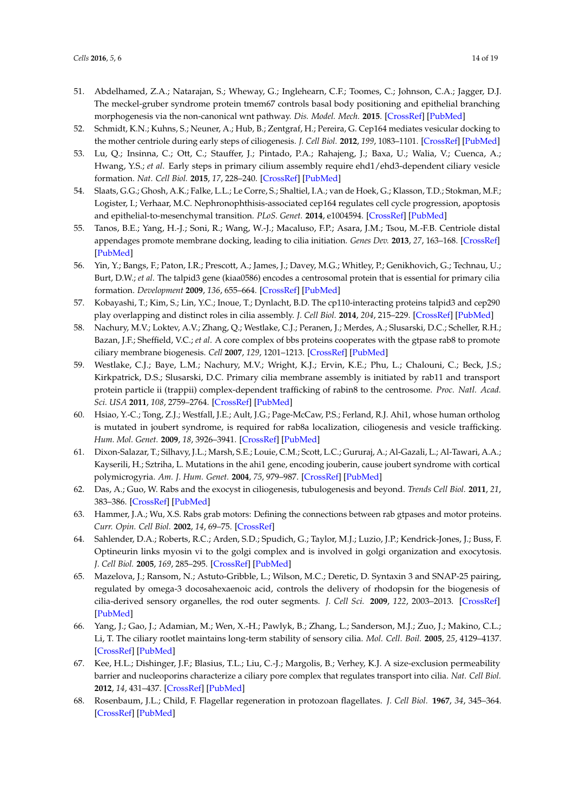- <span id="page-13-0"></span>51. Abdelhamed, Z.A.; Natarajan, S.; Wheway, G.; Inglehearn, C.F.; Toomes, C.; Johnson, C.A.; Jagger, D.J. The meckel-gruber syndrome protein tmem67 controls basal body positioning and epithelial branching morphogenesis via the non-canonical wnt pathway. *Dis. Model. Mech.* **2015**. [\[CrossRef\]](http://dx.doi.org/10.1242/dmm.019083) [\[PubMed\]](http://www.ncbi.nlm.nih.gov/pubmed/26035863)
- <span id="page-13-1"></span>52. Schmidt, K.N.; Kuhns, S.; Neuner, A.; Hub, B.; Zentgraf, H.; Pereira, G. Cep164 mediates vesicular docking to the mother centriole during early steps of ciliogenesis. *J. Cell Biol.* **2012**, *199*, 1083–1101. [\[CrossRef\]](http://dx.doi.org/10.1083/jcb.201202126) [\[PubMed\]](http://www.ncbi.nlm.nih.gov/pubmed/23253480)
- <span id="page-13-2"></span>53. Lu, Q.; Insinna, C.; Ott, C.; Stauffer, J.; Pintado, P.A.; Rahajeng, J.; Baxa, U.; Walia, V.; Cuenca, A.; Hwang, Y.S.; *et al*. Early steps in primary cilium assembly require ehd1/ehd3-dependent ciliary vesicle formation. *Nat. Cell Biol.* **2015**, *17*, 228–240. [\[CrossRef\]](http://dx.doi.org/10.1038/ncb3109) [\[PubMed\]](http://www.ncbi.nlm.nih.gov/pubmed/25686250)
- <span id="page-13-3"></span>54. Slaats, G.G.; Ghosh, A.K.; Falke, L.L.; Le Corre, S.; Shaltiel, I.A.; van de Hoek, G.; Klasson, T.D.; Stokman, M.F.; Logister, I.; Verhaar, M.C. Nephronophthisis-associated cep164 regulates cell cycle progression, apoptosis and epithelial-to-mesenchymal transition. *PLoS. Genet.* **2014**, e1004594. [\[CrossRef\]](http://dx.doi.org/10.1371/journal.pgen.1004594) [\[PubMed\]](http://www.ncbi.nlm.nih.gov/pubmed/25340510)
- <span id="page-13-4"></span>55. Tanos, B.E.; Yang, H.-J.; Soni, R.; Wang, W.-J.; Macaluso, F.P.; Asara, J.M.; Tsou, M.-F.B. Centriole distal appendages promote membrane docking, leading to cilia initiation. *Genes Dev.* **2013**, *27*, 163–168. [\[CrossRef\]](http://dx.doi.org/10.1101/gad.207043.112) [\[PubMed\]](http://www.ncbi.nlm.nih.gov/pubmed/23348840)
- <span id="page-13-5"></span>56. Yin, Y.; Bangs, F.; Paton, I.R.; Prescott, A.; James, J.; Davey, M.G.; Whitley, P.; Genikhovich, G.; Technau, U.; Burt, D.W.; *et al*. The talpid3 gene (kiaa0586) encodes a centrosomal protein that is essential for primary cilia formation. *Development* **2009**, *136*, 655–664. [\[CrossRef\]](http://dx.doi.org/10.1242/dev.028464) [\[PubMed\]](http://www.ncbi.nlm.nih.gov/pubmed/19144723)
- <span id="page-13-6"></span>57. Kobayashi, T.; Kim, S.; Lin, Y.C.; Inoue, T.; Dynlacht, B.D. The cp110-interacting proteins talpid3 and cep290 play overlapping and distinct roles in cilia assembly. *J. Cell Biol.* **2014**, *204*, 215–229. [\[CrossRef\]](http://dx.doi.org/10.1083/jcb.201304153) [\[PubMed\]](http://www.ncbi.nlm.nih.gov/pubmed/24421332)
- <span id="page-13-7"></span>58. Nachury, M.V.; Loktev, A.V.; Zhang, Q.; Westlake, C.J.; Peranen, J.; Merdes, A.; Slusarski, D.C.; Scheller, R.H.; Bazan, J.F.; Sheffield, V.C.; *et al*. A core complex of bbs proteins cooperates with the gtpase rab8 to promote ciliary membrane biogenesis. *Cell* **2007**, *129*, 1201–1213. [\[CrossRef\]](http://dx.doi.org/10.1016/j.cell.2007.03.053) [\[PubMed\]](http://www.ncbi.nlm.nih.gov/pubmed/17574030)
- <span id="page-13-8"></span>59. Westlake, C.J.; Baye, L.M.; Nachury, M.V.; Wright, K.J.; Ervin, K.E.; Phu, L.; Chalouni, C.; Beck, J.S.; Kirkpatrick, D.S.; Slusarski, D.C. Primary cilia membrane assembly is initiated by rab11 and transport protein particle ii (trappii) complex-dependent trafficking of rabin8 to the centrosome. *Proc. Natl. Acad. Sci. USA* **2011**, *108*, 2759–2764. [\[CrossRef\]](http://dx.doi.org/10.1073/pnas.1018823108) [\[PubMed\]](http://www.ncbi.nlm.nih.gov/pubmed/21273506)
- <span id="page-13-9"></span>60. Hsiao, Y.-C.; Tong, Z.J.; Westfall, J.E.; Ault, J.G.; Page-McCaw, P.S.; Ferland, R.J. Ahi1, whose human ortholog is mutated in joubert syndrome, is required for rab8a localization, ciliogenesis and vesicle trafficking. *Hum. Mol. Genet.* **2009**, *18*, 3926–3941. [\[CrossRef\]](http://dx.doi.org/10.1093/hmg/ddp335) [\[PubMed\]](http://www.ncbi.nlm.nih.gov/pubmed/19625297)
- <span id="page-13-10"></span>61. Dixon-Salazar, T.; Silhavy, J.L.; Marsh, S.E.; Louie, C.M.; Scott, L.C.; Gururaj, A.; Al-Gazali, L.; Al-Tawari, A.A.; Kayserili, H.; Sztriha, L. Mutations in the ahi1 gene, encoding jouberin, cause joubert syndrome with cortical polymicrogyria. *Am. J. Hum. Genet.* **2004**, *75*, 979–987. [\[CrossRef\]](http://dx.doi.org/10.1086/425985) [\[PubMed\]](http://www.ncbi.nlm.nih.gov/pubmed/15467982)
- <span id="page-13-11"></span>62. Das, A.; Guo, W. Rabs and the exocyst in ciliogenesis, tubulogenesis and beyond. *Trends Cell Biol.* **2011**, *21*, 383–386. [\[CrossRef\]](http://dx.doi.org/10.1016/j.tcb.2011.03.006) [\[PubMed\]](http://www.ncbi.nlm.nih.gov/pubmed/21550243)
- 63. Hammer, J.A.; Wu, X.S. Rabs grab motors: Defining the connections between rab gtpases and motor proteins. *Curr. Opin. Cell Biol.* **2002**, *14*, 69–75. [\[CrossRef\]](http://dx.doi.org/10.1016/S0955-0674(01)00296-4)
- <span id="page-13-12"></span>64. Sahlender, D.A.; Roberts, R.C.; Arden, S.D.; Spudich, G.; Taylor, M.J.; Luzio, J.P.; Kendrick-Jones, J.; Buss, F. Optineurin links myosin vi to the golgi complex and is involved in golgi organization and exocytosis. *J. Cell Biol.* **2005**, *169*, 285–295. [\[CrossRef\]](http://dx.doi.org/10.1083/jcb.200501162) [\[PubMed\]](http://www.ncbi.nlm.nih.gov/pubmed/15837803)
- <span id="page-13-13"></span>65. Mazelova, J.; Ransom, N.; Astuto-Gribble, L.; Wilson, M.C.; Deretic, D. Syntaxin 3 and SNAP-25 pairing, regulated by omega-3 docosahexaenoic acid, controls the delivery of rhodopsin for the biogenesis of cilia-derived sensory organelles, the rod outer segments. *J. Cell Sci.* **2009**, *122*, 2003–2013. [\[CrossRef\]](http://dx.doi.org/10.1242/jcs.039982) [\[PubMed\]](http://www.ncbi.nlm.nih.gov/pubmed/19454479)
- <span id="page-13-14"></span>66. Yang, J.; Gao, J.; Adamian, M.; Wen, X.-H.; Pawlyk, B.; Zhang, L.; Sanderson, M.J.; Zuo, J.; Makino, C.L.; Li, T. The ciliary rootlet maintains long-term stability of sensory cilia. *Mol. Cell. Boil.* **2005**, *25*, 4129–4137. [\[CrossRef\]](http://dx.doi.org/10.1128/MCB.25.10.4129-4137.2005) [\[PubMed\]](http://www.ncbi.nlm.nih.gov/pubmed/15870283)
- <span id="page-13-15"></span>67. Kee, H.L.; Dishinger, J.F.; Blasius, T.L.; Liu, C.-J.; Margolis, B.; Verhey, K.J. A size-exclusion permeability barrier and nucleoporins characterize a ciliary pore complex that regulates transport into cilia. *Nat. Cell Biol.* **2012**, *14*, 431–437. [\[CrossRef\]](http://dx.doi.org/10.1038/ncb2450) [\[PubMed\]](http://www.ncbi.nlm.nih.gov/pubmed/22388888)
- <span id="page-13-16"></span>68. Rosenbaum, J.L.; Child, F. Flagellar regeneration in protozoan flagellates. *J. Cell Biol.* **1967**, *34*, 345–364. [\[CrossRef\]](http://dx.doi.org/10.1083/jcb.34.1.345) [\[PubMed\]](http://www.ncbi.nlm.nih.gov/pubmed/6033540)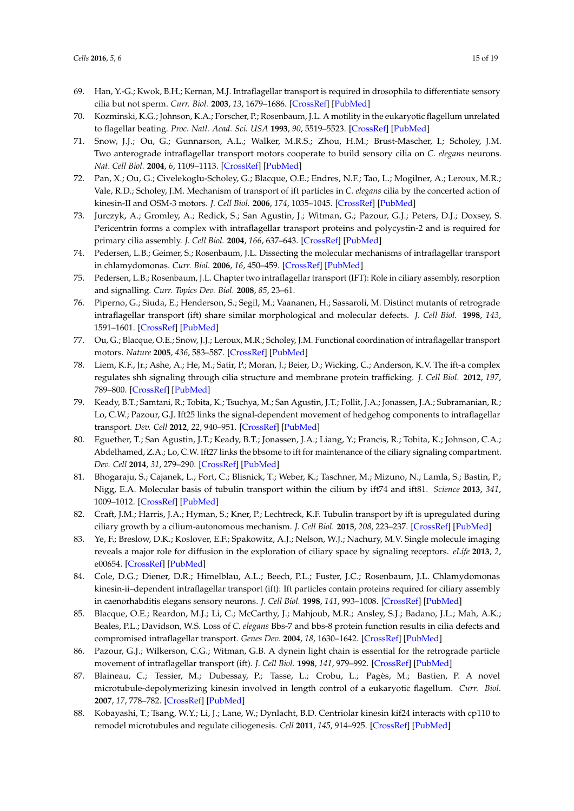- <span id="page-14-0"></span>69. Han, Y.-G.; Kwok, B.H.; Kernan, M.J. Intraflagellar transport is required in drosophila to differentiate sensory cilia but not sperm. *Curr. Biol.* **2003**, *13*, 1679–1686. [\[CrossRef\]](http://dx.doi.org/10.1016/j.cub.2003.08.034) [\[PubMed\]](http://www.ncbi.nlm.nih.gov/pubmed/14521833)
- <span id="page-14-1"></span>70. Kozminski, K.G.; Johnson, K.A.; Forscher, P.; Rosenbaum, J.L. A motility in the eukaryotic flagellum unrelated to flagellar beating. *Proc. Natl. Acad. Sci. USA* **1993**, *90*, 5519–5523. [\[CrossRef\]](http://dx.doi.org/10.1073/pnas.90.12.5519) [\[PubMed\]](http://www.ncbi.nlm.nih.gov/pubmed/8516294)
- 71. Snow, J.J.; Ou, G.; Gunnarson, A.L.; Walker, M.R.S.; Zhou, H.M.; Brust-Mascher, I.; Scholey, J.M. Two anterograde intraflagellar transport motors cooperate to build sensory cilia on *C. elegans* neurons. *Nat. Cell Biol.* **2004**, *6*, 1109–1113. [\[CrossRef\]](http://dx.doi.org/10.1038/ncb1186) [\[PubMed\]](http://www.ncbi.nlm.nih.gov/pubmed/15489852)
- <span id="page-14-2"></span>72. Pan, X.; Ou, G.; Civelekoglu-Scholey, G.; Blacque, O.E.; Endres, N.F.; Tao, L.; Mogilner, A.; Leroux, M.R.; Vale, R.D.; Scholey, J.M. Mechanism of transport of ift particles in *C. elegans* cilia by the concerted action of kinesin-II and OSM-3 motors. *J. Cell Biol.* **2006**, *174*, 1035–1045. [\[CrossRef\]](http://dx.doi.org/10.1083/jcb.200606003) [\[PubMed\]](http://www.ncbi.nlm.nih.gov/pubmed/17000880)
- <span id="page-14-3"></span>73. Jurczyk, A.; Gromley, A.; Redick, S.; San Agustin, J.; Witman, G.; Pazour, G.J.; Peters, D.J.; Doxsey, S. Pericentrin forms a complex with intraflagellar transport proteins and polycystin-2 and is required for primary cilia assembly. *J. Cell Biol.* **2004**, *166*, 637–643. [\[CrossRef\]](http://dx.doi.org/10.1083/jcb.200405023) [\[PubMed\]](http://www.ncbi.nlm.nih.gov/pubmed/15337773)
- <span id="page-14-4"></span>74. Pedersen, L.B.; Geimer, S.; Rosenbaum, J.L. Dissecting the molecular mechanisms of intraflagellar transport in chlamydomonas. *Curr. Biol.* **2006**, *16*, 450–459. [\[CrossRef\]](http://dx.doi.org/10.1016/j.cub.2006.02.020) [\[PubMed\]](http://www.ncbi.nlm.nih.gov/pubmed/16527740)
- <span id="page-14-5"></span>75. Pedersen, L.B.; Rosenbaum, J.L. Chapter two intraflagellar transport (IFT): Role in ciliary assembly, resorption and signalling. *Curr. Topics Dev. Biol.* **2008**, *85*, 23–61.
- <span id="page-14-6"></span>76. Piperno, G.; Siuda, E.; Henderson, S.; Segil, M.; Vaananen, H.; Sassaroli, M. Distinct mutants of retrograde intraflagellar transport (ift) share similar morphological and molecular defects. *J. Cell Biol.* **1998**, *143*, 1591–1601. [\[CrossRef\]](http://dx.doi.org/10.1083/jcb.143.6.1591) [\[PubMed\]](http://www.ncbi.nlm.nih.gov/pubmed/9852153)
- <span id="page-14-7"></span>77. Ou, G.; Blacque, O.E.; Snow, J.J.; Leroux, M.R.; Scholey, J.M. Functional coordination of intraflagellar transport motors. *Nature* **2005**, *436*, 583–587. [\[CrossRef\]](http://dx.doi.org/10.1038/nature03818) [\[PubMed\]](http://www.ncbi.nlm.nih.gov/pubmed/16049494)
- <span id="page-14-8"></span>78. Liem, K.F., Jr.; Ashe, A.; He, M.; Satir, P.; Moran, J.; Beier, D.; Wicking, C.; Anderson, K.V. The ift-a complex regulates shh signaling through cilia structure and membrane protein trafficking. *J. Cell Biol.* **2012**, *197*, 789–800. [\[CrossRef\]](http://dx.doi.org/10.1083/jcb.201110049) [\[PubMed\]](http://www.ncbi.nlm.nih.gov/pubmed/22689656)
- <span id="page-14-9"></span>79. Keady, B.T.; Samtani, R.; Tobita, K.; Tsuchya, M.; San Agustin, J.T.; Follit, J.A.; Jonassen, J.A.; Subramanian, R.; Lo, C.W.; Pazour, G.J. Ift25 links the signal-dependent movement of hedgehog components to intraflagellar transport. *Dev. Cell* **2012**, *22*, 940–951. [\[CrossRef\]](http://dx.doi.org/10.1016/j.devcel.2012.04.009) [\[PubMed\]](http://www.ncbi.nlm.nih.gov/pubmed/22595669)
- <span id="page-14-10"></span>80. Eguether, T.; San Agustin, J.T.; Keady, B.T.; Jonassen, J.A.; Liang, Y.; Francis, R.; Tobita, K.; Johnson, C.A.; Abdelhamed, Z.A.; Lo, C.W. Ift27 links the bbsome to ift for maintenance of the ciliary signaling compartment. *Dev. Cell* **2014**, *31*, 279–290. [\[CrossRef\]](http://dx.doi.org/10.1016/j.devcel.2014.09.011) [\[PubMed\]](http://www.ncbi.nlm.nih.gov/pubmed/25446516)
- <span id="page-14-11"></span>81. Bhogaraju, S.; Cajanek, L.; Fort, C.; Blisnick, T.; Weber, K.; Taschner, M.; Mizuno, N.; Lamla, S.; Bastin, P.; Nigg, E.A. Molecular basis of tubulin transport within the cilium by ift74 and ift81. *Science* **2013**, *341*, 1009–1012. [\[CrossRef\]](http://dx.doi.org/10.1126/science.1240985) [\[PubMed\]](http://www.ncbi.nlm.nih.gov/pubmed/23990561)
- <span id="page-14-12"></span>82. Craft, J.M.; Harris, J.A.; Hyman, S.; Kner, P.; Lechtreck, K.F. Tubulin transport by ift is upregulated during ciliary growth by a cilium-autonomous mechanism. *J. Cell Biol.* **2015**, *208*, 223–237. [\[CrossRef\]](http://dx.doi.org/10.1083/jcb.201409036) [\[PubMed\]](http://www.ncbi.nlm.nih.gov/pubmed/25583998)
- <span id="page-14-13"></span>83. Ye, F.; Breslow, D.K.; Koslover, E.F.; Spakowitz, A.J.; Nelson, W.J.; Nachury, M.V. Single molecule imaging reveals a major role for diffusion in the exploration of ciliary space by signaling receptors. *eLife* **2013**, *2*, e00654. [\[CrossRef\]](http://dx.doi.org/10.7554/eLife.00654) [\[PubMed\]](http://www.ncbi.nlm.nih.gov/pubmed/23930224)
- <span id="page-14-14"></span>84. Cole, D.G.; Diener, D.R.; Himelblau, A.L.; Beech, P.L.; Fuster, J.C.; Rosenbaum, J.L. Chlamydomonas kinesin-ii–dependent intraflagellar transport (ift): Ift particles contain proteins required for ciliary assembly in caenorhabditis elegans sensory neurons. *J. Cell Biol.* **1998**, *141*, 993–1008. [\[CrossRef\]](http://dx.doi.org/10.1083/jcb.141.4.993) [\[PubMed\]](http://www.ncbi.nlm.nih.gov/pubmed/9585417)
- <span id="page-14-15"></span>85. Blacque, O.E.; Reardon, M.J.; Li, C.; McCarthy, J.; Mahjoub, M.R.; Ansley, S.J.; Badano, J.L.; Mah, A.K.; Beales, P.L.; Davidson, W.S. Loss of *C. elegans* Bbs-7 and bbs-8 protein function results in cilia defects and compromised intraflagellar transport. *Genes Dev.* **2004**, *18*, 1630–1642. [\[CrossRef\]](http://dx.doi.org/10.1101/gad.1194004) [\[PubMed\]](http://www.ncbi.nlm.nih.gov/pubmed/15231740)
- <span id="page-14-16"></span>86. Pazour, G.J.; Wilkerson, C.G.; Witman, G.B. A dynein light chain is essential for the retrograde particle movement of intraflagellar transport (ift). *J. Cell Biol.* **1998**, *141*, 979–992. [\[CrossRef\]](http://dx.doi.org/10.1083/jcb.141.4.979) [\[PubMed\]](http://www.ncbi.nlm.nih.gov/pubmed/9585416)
- <span id="page-14-17"></span>87. Blaineau, C.; Tessier, M.; Dubessay, P.; Tasse, L.; Crobu, L.; Pagès, M.; Bastien, P. A novel microtubule-depolymerizing kinesin involved in length control of a eukaryotic flagellum. *Curr. Biol.* **2007**, *17*, 778–782. [\[CrossRef\]](http://dx.doi.org/10.1016/j.cub.2007.03.048) [\[PubMed\]](http://www.ncbi.nlm.nih.gov/pubmed/17433682)
- <span id="page-14-18"></span>88. Kobayashi, T.; Tsang, W.Y.; Li, J.; Lane, W.; Dynlacht, B.D. Centriolar kinesin kif24 interacts with cp110 to remodel microtubules and regulate ciliogenesis. *Cell* **2011**, *145*, 914–925. [\[CrossRef\]](http://dx.doi.org/10.1016/j.cell.2011.04.028) [\[PubMed\]](http://www.ncbi.nlm.nih.gov/pubmed/21620453)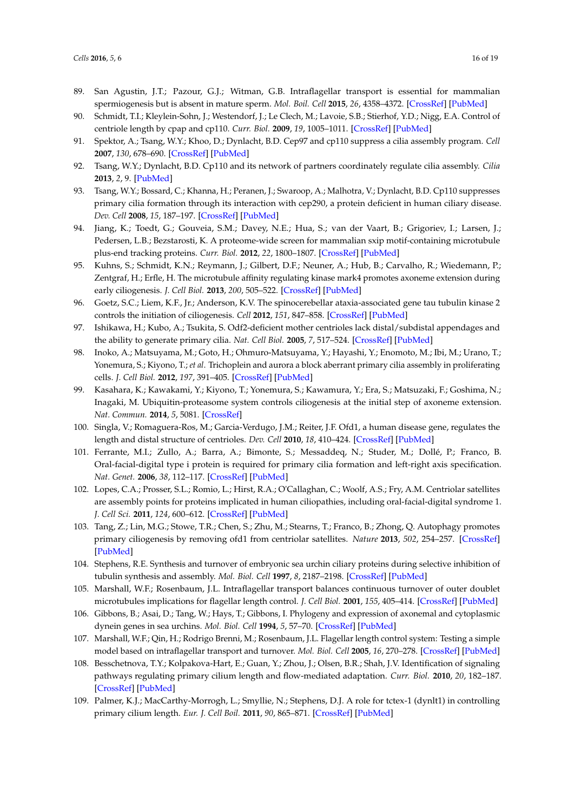- <span id="page-15-0"></span>89. San Agustin, J.T.; Pazour, G.J.; Witman, G.B. Intraflagellar transport is essential for mammalian spermiogenesis but is absent in mature sperm. *Mol. Boil. Cell* **2015**, *26*, 4358–4372. [\[CrossRef\]](http://dx.doi.org/10.1091/mbc.E15-08-0578) [\[PubMed\]](http://www.ncbi.nlm.nih.gov/pubmed/26424803)
- <span id="page-15-1"></span>90. Schmidt, T.I.; Kleylein-Sohn, J.; Westendorf, J.; Le Clech, M.; Lavoie, S.B.; Stierhof, Y.D.; Nigg, E.A. Control of centriole length by cpap and cp110. *Curr. Biol.* **2009**, *19*, 1005–1011. [\[CrossRef\]](http://dx.doi.org/10.1016/j.cub.2009.05.016) [\[PubMed\]](http://www.ncbi.nlm.nih.gov/pubmed/19481458)
- <span id="page-15-2"></span>91. Spektor, A.; Tsang, W.Y.; Khoo, D.; Dynlacht, B.D. Cep97 and cp110 suppress a cilia assembly program. *Cell* **2007**, *130*, 678–690. [\[CrossRef\]](http://dx.doi.org/10.1016/j.cell.2007.06.027) [\[PubMed\]](http://www.ncbi.nlm.nih.gov/pubmed/17719545)
- <span id="page-15-3"></span>92. Tsang, W.Y.; Dynlacht, B.D. Cp110 and its network of partners coordinately regulate cilia assembly. *Cilia* **2013**, *2*, 9. [\[PubMed\]](http://www.ncbi.nlm.nih.gov/pubmed/24053599)
- <span id="page-15-4"></span>93. Tsang, W.Y.; Bossard, C.; Khanna, H.; Peranen, J.; Swaroop, A.; Malhotra, V.; Dynlacht, B.D. Cp110 suppresses primary cilia formation through its interaction with cep290, a protein deficient in human ciliary disease. *Dev. Cell* **2008**, *15*, 187–197. [\[CrossRef\]](http://dx.doi.org/10.1016/j.devcel.2008.07.004) [\[PubMed\]](http://www.ncbi.nlm.nih.gov/pubmed/18694559)
- <span id="page-15-5"></span>94. Jiang, K.; Toedt, G.; Gouveia, S.M.; Davey, N.E.; Hua, S.; van der Vaart, B.; Grigoriev, I.; Larsen, J.; Pedersen, L.B.; Bezstarosti, K. A proteome-wide screen for mammalian sxip motif-containing microtubule plus-end tracking proteins. *Curr. Biol.* **2012**, *22*, 1800–1807. [\[CrossRef\]](http://dx.doi.org/10.1016/j.cub.2012.07.047) [\[PubMed\]](http://www.ncbi.nlm.nih.gov/pubmed/22885064)
- <span id="page-15-6"></span>95. Kuhns, S.; Schmidt, K.N.; Reymann, J.; Gilbert, D.F.; Neuner, A.; Hub, B.; Carvalho, R.; Wiedemann, P.; Zentgraf, H.; Erfle, H. The microtubule affinity regulating kinase mark4 promotes axoneme extension during early ciliogenesis. *J. Cell Biol.* **2013**, *200*, 505–522. [\[CrossRef\]](http://dx.doi.org/10.1083/jcb.201206013) [\[PubMed\]](http://www.ncbi.nlm.nih.gov/pubmed/23400999)
- <span id="page-15-7"></span>96. Goetz, S.C.; Liem, K.F., Jr.; Anderson, K.V. The spinocerebellar ataxia-associated gene tau tubulin kinase 2 controls the initiation of ciliogenesis. *Cell* **2012**, *151*, 847–858. [\[CrossRef\]](http://dx.doi.org/10.1016/j.cell.2012.10.010) [\[PubMed\]](http://www.ncbi.nlm.nih.gov/pubmed/23141541)
- <span id="page-15-8"></span>97. Ishikawa, H.; Kubo, A.; Tsukita, S. Odf2-deficient mother centrioles lack distal/subdistal appendages and the ability to generate primary cilia. *Nat. Cell Biol.* **2005**, *7*, 517–524. [\[CrossRef\]](http://dx.doi.org/10.1038/ncb1251) [\[PubMed\]](http://www.ncbi.nlm.nih.gov/pubmed/15852003)
- <span id="page-15-9"></span>98. Inoko, A.; Matsuyama, M.; Goto, H.; Ohmuro-Matsuyama, Y.; Hayashi, Y.; Enomoto, M.; Ibi, M.; Urano, T.; Yonemura, S.; Kiyono, T.; *et al*. Trichoplein and aurora a block aberrant primary cilia assembly in proliferating cells. *J. Cell Biol.* **2012**, *197*, 391–405. [\[CrossRef\]](http://dx.doi.org/10.1083/jcb.201106101) [\[PubMed\]](http://www.ncbi.nlm.nih.gov/pubmed/22529102)
- <span id="page-15-10"></span>99. Kasahara, K.; Kawakami, Y.; Kiyono, T.; Yonemura, S.; Kawamura, Y.; Era, S.; Matsuzaki, F.; Goshima, N.; Inagaki, M. Ubiquitin-proteasome system controls ciliogenesis at the initial step of axoneme extension. *Nat. Commun.* **2014**, *5*, 5081. [\[CrossRef\]](http://dx.doi.org/10.1038/ncomms6081)
- <span id="page-15-11"></span>100. Singla, V.; Romaguera-Ros, M.; Garcia-Verdugo, J.M.; Reiter, J.F. Ofd1, a human disease gene, regulates the length and distal structure of centrioles. *Dev. Cell* **2010**, *18*, 410–424. [\[CrossRef\]](http://dx.doi.org/10.1016/j.devcel.2009.12.022) [\[PubMed\]](http://www.ncbi.nlm.nih.gov/pubmed/20230748)
- <span id="page-15-12"></span>101. Ferrante, M.I.; Zullo, A.; Barra, A.; Bimonte, S.; Messaddeq, N.; Studer, M.; Dollé, P.; Franco, B. Oral-facial-digital type i protein is required for primary cilia formation and left-right axis specification. *Nat. Genet.* **2006**, *38*, 112–117. [\[CrossRef\]](http://dx.doi.org/10.1038/ng1684) [\[PubMed\]](http://www.ncbi.nlm.nih.gov/pubmed/16311594)
- <span id="page-15-13"></span>102. Lopes, C.A.; Prosser, S.L.; Romio, L.; Hirst, R.A.; O'Callaghan, C.; Woolf, A.S.; Fry, A.M. Centriolar satellites are assembly points for proteins implicated in human ciliopathies, including oral-facial-digital syndrome 1. *J. Cell Sci.* **2011**, *124*, 600–612. [\[CrossRef\]](http://dx.doi.org/10.1242/jcs.077156) [\[PubMed\]](http://www.ncbi.nlm.nih.gov/pubmed/21266464)
- <span id="page-15-14"></span>103. Tang, Z.; Lin, M.G.; Stowe, T.R.; Chen, S.; Zhu, M.; Stearns, T.; Franco, B.; Zhong, Q. Autophagy promotes primary ciliogenesis by removing ofd1 from centriolar satellites. *Nature* **2013**, *502*, 254–257. [\[CrossRef\]](http://dx.doi.org/10.1038/nature12606) [\[PubMed\]](http://www.ncbi.nlm.nih.gov/pubmed/24089205)
- <span id="page-15-15"></span>104. Stephens, R.E. Synthesis and turnover of embryonic sea urchin ciliary proteins during selective inhibition of tubulin synthesis and assembly. *Mol. Biol. Cell* **1997**, *8*, 2187–2198. [\[CrossRef\]](http://dx.doi.org/10.1091/mbc.8.11.2187) [\[PubMed\]](http://www.ncbi.nlm.nih.gov/pubmed/9362062)
- <span id="page-15-16"></span>105. Marshall, W.F.; Rosenbaum, J.L. Intraflagellar transport balances continuous turnover of outer doublet microtubules implications for flagellar length control. *J. Cell Biol.* **2001**, *155*, 405–414. [\[CrossRef\]](http://dx.doi.org/10.1083/jcb.200106141) [\[PubMed\]](http://www.ncbi.nlm.nih.gov/pubmed/11684707)
- <span id="page-15-17"></span>106. Gibbons, B.; Asai, D.; Tang, W.; Hays, T.; Gibbons, I. Phylogeny and expression of axonemal and cytoplasmic dynein genes in sea urchins. *Mol. Biol. Cell* **1994**, *5*, 57–70. [\[CrossRef\]](http://dx.doi.org/10.1091/mbc.5.1.57) [\[PubMed\]](http://www.ncbi.nlm.nih.gov/pubmed/8186465)
- <span id="page-15-18"></span>107. Marshall, W.F.; Qin, H.; Rodrigo Brenni, M.; Rosenbaum, J.L. Flagellar length control system: Testing a simple model based on intraflagellar transport and turnover. *Mol. Biol. Cell* **2005**, *16*, 270–278. [\[CrossRef\]](http://dx.doi.org/10.1091/mbc.E04-07-0586) [\[PubMed\]](http://www.ncbi.nlm.nih.gov/pubmed/15496456)
- <span id="page-15-19"></span>108. Besschetnova, T.Y.; Kolpakova-Hart, E.; Guan, Y.; Zhou, J.; Olsen, B.R.; Shah, J.V. Identification of signaling pathways regulating primary cilium length and flow-mediated adaptation. *Curr. Biol.* **2010**, *20*, 182–187. [\[CrossRef\]](http://dx.doi.org/10.1016/j.cub.2009.11.072) [\[PubMed\]](http://www.ncbi.nlm.nih.gov/pubmed/20096584)
- <span id="page-15-20"></span>109. Palmer, K.J.; MacCarthy-Morrogh, L.; Smyllie, N.; Stephens, D.J. A role for tctex-1 (dynlt1) in controlling primary cilium length. *Eur. J. Cell Boil.* **2011**, *90*, 865–871. [\[CrossRef\]](http://dx.doi.org/10.1016/j.ejcb.2011.05.003) [\[PubMed\]](http://www.ncbi.nlm.nih.gov/pubmed/21700358)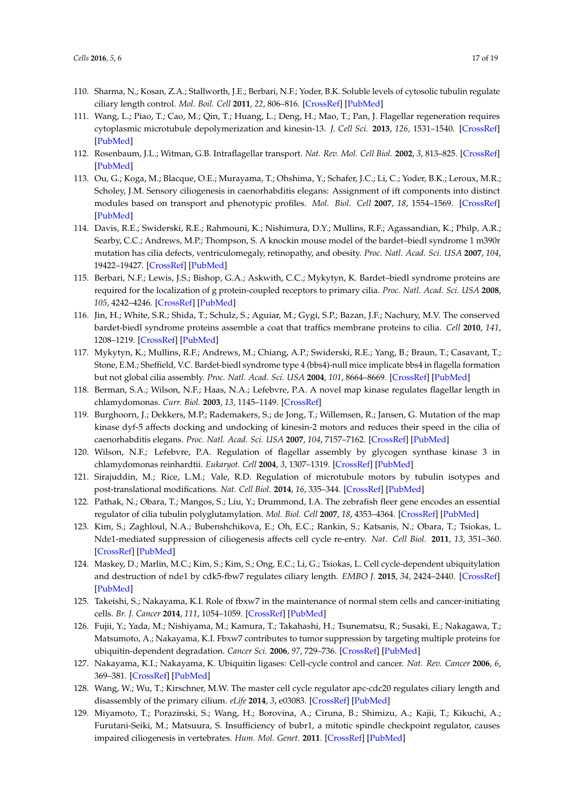- <span id="page-16-0"></span>110. Sharma, N.; Kosan, Z.A.; Stallworth, J.E.; Berbari, N.F.; Yoder, B.K. Soluble levels of cytosolic tubulin regulate ciliary length control. *Mol. Boil. Cell* **2011**, *22*, 806–816. [\[CrossRef\]](http://dx.doi.org/10.1091/mbc.E10-03-0269) [\[PubMed\]](http://www.ncbi.nlm.nih.gov/pubmed/21270438)
- <span id="page-16-1"></span>111. Wang, L.; Piao, T.; Cao, M.; Qin, T.; Huang, L.; Deng, H.; Mao, T.; Pan, J. Flagellar regeneration requires cytoplasmic microtubule depolymerization and kinesin-13. *J. Cell Sci.* **2013**, *126*, 1531–1540. [\[CrossRef\]](http://dx.doi.org/10.1242/jcs.124255) [\[PubMed\]](http://www.ncbi.nlm.nih.gov/pubmed/23418346)
- <span id="page-16-2"></span>112. Rosenbaum, J.L.; Witman, G.B. Intraflagellar transport. *Nat. Rev. Mol. Cell Biol.* **2002**, *3*, 813–825. [\[CrossRef\]](http://dx.doi.org/10.1038/nrm952) [\[PubMed\]](http://www.ncbi.nlm.nih.gov/pubmed/12415299)
- <span id="page-16-3"></span>113. Ou, G.; Koga, M.; Blacque, O.E.; Murayama, T.; Ohshima, Y.; Schafer, J.C.; Li, C.; Yoder, B.K.; Leroux, M.R.; Scholey, J.M. Sensory ciliogenesis in caenorhabditis elegans: Assignment of ift components into distinct modules based on transport and phenotypic profiles. *Mol. Biol. Cell* **2007**, *18*, 1554–1569. [\[CrossRef\]](http://dx.doi.org/10.1091/mbc.E06-09-0805) [\[PubMed\]](http://www.ncbi.nlm.nih.gov/pubmed/17314406)
- <span id="page-16-4"></span>114. Davis, R.E.; Swiderski, R.E.; Rahmouni, K.; Nishimura, D.Y.; Mullins, R.F.; Agassandian, K.; Philp, A.R.; Searby, C.C.; Andrews, M.P.; Thompson, S. A knockin mouse model of the bardet–biedl syndrome 1 m390r mutation has cilia defects, ventriculomegaly, retinopathy, and obesity. *Proc. Natl. Acad. Sci. USA* **2007**, *104*, 19422–19427. [\[CrossRef\]](http://dx.doi.org/10.1073/pnas.0708571104) [\[PubMed\]](http://www.ncbi.nlm.nih.gov/pubmed/18032602)
- 115. Berbari, N.F.; Lewis, J.S.; Bishop, G.A.; Askwith, C.C.; Mykytyn, K. Bardet–biedl syndrome proteins are required for the localization of g protein-coupled receptors to primary cilia. *Proc. Natl. Acad. Sci. USA* **2008**, *105*, 4242–4246. [\[CrossRef\]](http://dx.doi.org/10.1073/pnas.0711027105) [\[PubMed\]](http://www.ncbi.nlm.nih.gov/pubmed/18334641)
- <span id="page-16-17"></span>116. Jin, H.; White, S.R.; Shida, T.; Schulz, S.; Aguiar, M.; Gygi, S.P.; Bazan, J.F.; Nachury, M.V. The conserved bardet-biedl syndrome proteins assemble a coat that traffics membrane proteins to cilia. *Cell* **2010**, *141*, 1208–1219. [\[CrossRef\]](http://dx.doi.org/10.1016/j.cell.2010.05.015) [\[PubMed\]](http://www.ncbi.nlm.nih.gov/pubmed/20603001)
- <span id="page-16-5"></span>117. Mykytyn, K.; Mullins, R.F.; Andrews, M.; Chiang, A.P.; Swiderski, R.E.; Yang, B.; Braun, T.; Casavant, T.; Stone, E.M.; Sheffield, V.C. Bardet-biedl syndrome type 4 (bbs4)-null mice implicate bbs4 in flagella formation but not global cilia assembly. *Proc. Natl. Acad. Sci. USA* **2004**, *101*, 8664–8669. [\[CrossRef\]](http://dx.doi.org/10.1073/pnas.0402354101) [\[PubMed\]](http://www.ncbi.nlm.nih.gov/pubmed/15173597)
- <span id="page-16-6"></span>118. Berman, S.A.; Wilson, N.F.; Haas, N.A.; Lefebvre, P.A. A novel map kinase regulates flagellar length in chlamydomonas. *Curr. Biol.* **2003**, *13*, 1145–1149. [\[CrossRef\]](http://dx.doi.org/10.1016/S0960-9822(03)00415-9)
- 119. Burghoorn, J.; Dekkers, M.P.; Rademakers, S.; de Jong, T.; Willemsen, R.; Jansen, G. Mutation of the map kinase dyf-5 affects docking and undocking of kinesin-2 motors and reduces their speed in the cilia of caenorhabditis elegans. *Proc. Natl. Acad. Sci. USA* **2007**, *104*, 7157–7162. [\[CrossRef\]](http://dx.doi.org/10.1073/pnas.0606974104) [\[PubMed\]](http://www.ncbi.nlm.nih.gov/pubmed/17420466)
- <span id="page-16-7"></span>120. Wilson, N.F.; Lefebvre, P.A. Regulation of flagellar assembly by glycogen synthase kinase 3 in chlamydomonas reinhardtii. *Eukaryot. Cell* **2004**, *3*, 1307–1319. [\[CrossRef\]](http://dx.doi.org/10.1128/EC.3.5.1307-1319.2004) [\[PubMed\]](http://www.ncbi.nlm.nih.gov/pubmed/15470259)
- <span id="page-16-8"></span>121. Sirajuddin, M.; Rice, L.M.; Vale, R.D. Regulation of microtubule motors by tubulin isotypes and post-translational modifications. *Nat. Cell Biol.* **2014**, *16*, 335–344. [\[CrossRef\]](http://dx.doi.org/10.1038/ncb2920) [\[PubMed\]](http://www.ncbi.nlm.nih.gov/pubmed/24633327)
- <span id="page-16-9"></span>122. Pathak, N.; Obara, T.; Mangos, S.; Liu, Y.; Drummond, I.A. The zebrafish fleer gene encodes an essential regulator of cilia tubulin polyglutamylation. *Mol. Biol. Cell* **2007**, *18*, 4353–4364. [\[CrossRef\]](http://dx.doi.org/10.1091/mbc.E07-06-0537) [\[PubMed\]](http://www.ncbi.nlm.nih.gov/pubmed/17761526)
- <span id="page-16-10"></span>123. Kim, S.; Zaghloul, N.A.; Bubenshchikova, E.; Oh, E.C.; Rankin, S.; Katsanis, N.; Obara, T.; Tsiokas, L. Nde1-mediated suppression of ciliogenesis affects cell cycle re-entry. *Nat. Cell Biol.* **2011**, *13*, 351–360. [\[CrossRef\]](http://dx.doi.org/10.1038/ncb2183) [\[PubMed\]](http://www.ncbi.nlm.nih.gov/pubmed/21394081)
- <span id="page-16-11"></span>124. Maskey, D.; Marlin, M.C.; Kim, S.; Kim, S.; Ong, E.C.; Li, G.; Tsiokas, L. Cell cycle-dependent ubiquitylation and destruction of nde1 by cdk5-fbw7 regulates ciliary length. *EMBO J.* **2015**, *34*, 2424–2440. [\[CrossRef\]](http://dx.doi.org/10.15252/embj.201490831) [\[PubMed\]](http://www.ncbi.nlm.nih.gov/pubmed/26206584)
- <span id="page-16-12"></span>125. Takeishi, S.; Nakayama, K.I. Role of fbxw7 in the maintenance of normal stem cells and cancer-initiating cells. *Br. J. Cancer* **2014**, *111*, 1054–1059. [\[CrossRef\]](http://dx.doi.org/10.1038/bjc.2014.259) [\[PubMed\]](http://www.ncbi.nlm.nih.gov/pubmed/24853181)
- <span id="page-16-13"></span>126. Fujii, Y.; Yada, M.; Nishiyama, M.; Kamura, T.; Takahashi, H.; Tsunematsu, R.; Susaki, E.; Nakagawa, T.; Matsumoto, A.; Nakayama, K.I. Fbxw7 contributes to tumor suppression by targeting multiple proteins for ubiquitin-dependent degradation. *Cancer Sci.* **2006**, *97*, 729–736. [\[CrossRef\]](http://dx.doi.org/10.1111/j.1349-7006.2006.00239.x) [\[PubMed\]](http://www.ncbi.nlm.nih.gov/pubmed/16863506)
- <span id="page-16-14"></span>127. Nakayama, K.I.; Nakayama, K. Ubiquitin ligases: Cell-cycle control and cancer. *Nat. Rev. Cancer* **2006**, *6*, 369–381. [\[CrossRef\]](http://dx.doi.org/10.1038/nrc1881) [\[PubMed\]](http://www.ncbi.nlm.nih.gov/pubmed/16633365)
- <span id="page-16-15"></span>128. Wang, W.; Wu, T.; Kirschner, M.W. The master cell cycle regulator apc-cdc20 regulates ciliary length and disassembly of the primary cilium. *eLife* **2014**, *3*, e03083. [\[CrossRef\]](http://dx.doi.org/10.7554/eLife.03083) [\[PubMed\]](http://www.ncbi.nlm.nih.gov/pubmed/25139956)
- <span id="page-16-16"></span>129. Miyamoto, T.; Porazinski, S.; Wang, H.; Borovina, A.; Ciruna, B.; Shimizu, A.; Kajii, T.; Kikuchi, A.; Furutani-Seiki, M.; Matsuura, S. Insufficiency of bubr1, a mitotic spindle checkpoint regulator, causes impaired ciliogenesis in vertebrates. *Hum. Mol. Genet.* **2011**. [\[CrossRef\]](http://dx.doi.org/10.1093/hmg/ddr090) [\[PubMed\]](http://www.ncbi.nlm.nih.gov/pubmed/21389084)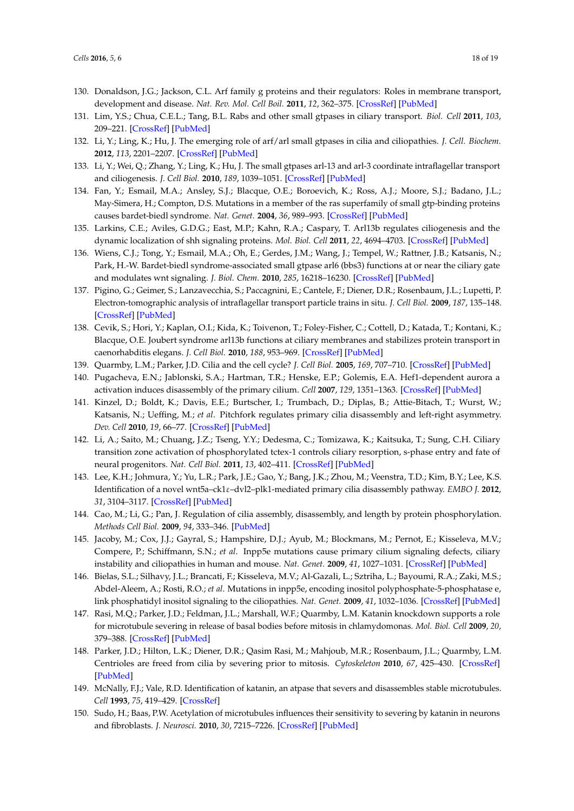- <span id="page-17-0"></span>130. Donaldson, J.G.; Jackson, C.L. Arf family g proteins and their regulators: Roles in membrane transport, development and disease. *Nat. Rev. Mol. Cell Boil.* **2011**, *12*, 362–375. [\[CrossRef\]](http://dx.doi.org/10.1038/nrm3117) [\[PubMed\]](http://www.ncbi.nlm.nih.gov/pubmed/21587297)
- 131. Lim, Y.S.; Chua, C.E.L.; Tang, B.L. Rabs and other small gtpases in ciliary transport. *Biol. Cell* **2011**, *103*, 209–221. [\[CrossRef\]](http://dx.doi.org/10.1042/BC20100150) [\[PubMed\]](http://www.ncbi.nlm.nih.gov/pubmed/21488838)
- <span id="page-17-1"></span>132. Li, Y.; Ling, K.; Hu, J. The emerging role of arf/arl small gtpases in cilia and ciliopathies. *J. Cell. Biochem.* **2012**, *113*, 2201–2207. [\[CrossRef\]](http://dx.doi.org/10.1002/jcb.24116) [\[PubMed\]](http://www.ncbi.nlm.nih.gov/pubmed/22389062)
- <span id="page-17-2"></span>133. Li, Y.; Wei, Q.; Zhang, Y.; Ling, K.; Hu, J. The small gtpases arl-13 and arl-3 coordinate intraflagellar transport and ciliogenesis. *J. Cell Biol.* **2010**, *189*, 1039–1051. [\[CrossRef\]](http://dx.doi.org/10.1083/jcb.200912001) [\[PubMed\]](http://www.ncbi.nlm.nih.gov/pubmed/20530210)
- <span id="page-17-3"></span>134. Fan, Y.; Esmail, M.A.; Ansley, S.J.; Blacque, O.E.; Boroevich, K.; Ross, A.J.; Moore, S.J.; Badano, J.L.; May-Simera, H.; Compton, D.S. Mutations in a member of the ras superfamily of small gtp-binding proteins causes bardet-biedl syndrome. *Nat. Genet.* **2004**, *36*, 989–993. [\[CrossRef\]](http://dx.doi.org/10.1038/ng1414) [\[PubMed\]](http://www.ncbi.nlm.nih.gov/pubmed/15314642)
- <span id="page-17-4"></span>135. Larkins, C.E.; Aviles, G.D.G.; East, M.P.; Kahn, R.A.; Caspary, T. Arl13b regulates ciliogenesis and the dynamic localization of shh signaling proteins. *Mol. Biol. Cell* **2011**, *22*, 4694–4703. [\[CrossRef\]](http://dx.doi.org/10.1091/mbc.E10-12-0994) [\[PubMed\]](http://www.ncbi.nlm.nih.gov/pubmed/21976698)
- <span id="page-17-5"></span>136. Wiens, C.J.; Tong, Y.; Esmail, M.A.; Oh, E.; Gerdes, J.M.; Wang, J.; Tempel, W.; Rattner, J.B.; Katsanis, N.; Park, H.-W. Bardet-biedl syndrome-associated small gtpase arl6 (bbs3) functions at or near the ciliary gate and modulates wnt signaling. *J. Biol. Chem.* **2010**, *285*, 16218–16230. [\[CrossRef\]](http://dx.doi.org/10.1074/jbc.M109.070953) [\[PubMed\]](http://www.ncbi.nlm.nih.gov/pubmed/20207729)
- <span id="page-17-6"></span>137. Pigino, G.; Geimer, S.; Lanzavecchia, S.; Paccagnini, E.; Cantele, F.; Diener, D.R.; Rosenbaum, J.L.; Lupetti, P. Electron-tomographic analysis of intraflagellar transport particle trains in situ. *J. Cell Biol.* **2009**, *187*, 135–148. [\[CrossRef\]](http://dx.doi.org/10.1083/jcb.200905103) [\[PubMed\]](http://www.ncbi.nlm.nih.gov/pubmed/19805633)
- <span id="page-17-7"></span>138. Cevik, S.; Hori, Y.; Kaplan, O.I.; Kida, K.; Toivenon, T.; Foley-Fisher, C.; Cottell, D.; Katada, T.; Kontani, K.; Blacque, O.E. Joubert syndrome arl13b functions at ciliary membranes and stabilizes protein transport in caenorhabditis elegans. *J. Cell Biol.* **2010**, *188*, 953–969. [\[CrossRef\]](http://dx.doi.org/10.1083/jcb.200908133) [\[PubMed\]](http://www.ncbi.nlm.nih.gov/pubmed/20231383)
- <span id="page-17-8"></span>139. Quarmby, L.M.; Parker, J.D. Cilia and the cell cycle? *J. Cell Biol.* **2005**, *169*, 707–710. [\[CrossRef\]](http://dx.doi.org/10.1083/jcb.200503053) [\[PubMed\]](http://www.ncbi.nlm.nih.gov/pubmed/15928206)
- <span id="page-17-9"></span>140. Pugacheva, E.N.; Jablonski, S.A.; Hartman, T.R.; Henske, E.P.; Golemis, E.A. Hef1-dependent aurora a activation induces disassembly of the primary cilium. *Cell* **2007**, *129*, 1351–1363. [\[CrossRef\]](http://dx.doi.org/10.1016/j.cell.2007.04.035) [\[PubMed\]](http://www.ncbi.nlm.nih.gov/pubmed/17604723)
- <span id="page-17-11"></span>141. Kinzel, D.; Boldt, K.; Davis, E.E.; Burtscher, I.; Trumbach, D.; Diplas, B.; Attie-Bitach, T.; Wurst, W.; Katsanis, N.; Ueffing, M.; *et al*. Pitchfork regulates primary cilia disassembly and left-right asymmetry. *Dev. Cell* **2010**, *19*, 66–77. [\[CrossRef\]](http://dx.doi.org/10.1016/j.devcel.2010.06.005) [\[PubMed\]](http://www.ncbi.nlm.nih.gov/pubmed/20643351)
- <span id="page-17-10"></span>142. Li, A.; Saito, M.; Chuang, J.Z.; Tseng, Y.Y.; Dedesma, C.; Tomizawa, K.; Kaitsuka, T.; Sung, C.H. Ciliary transition zone activation of phosphorylated tctex-1 controls ciliary resorption, s-phase entry and fate of neural progenitors. *Nat. Cell Biol.* **2011**, *13*, 402–411. [\[CrossRef\]](http://dx.doi.org/10.1038/ncb2218) [\[PubMed\]](http://www.ncbi.nlm.nih.gov/pubmed/21394082)
- <span id="page-17-12"></span>143. Lee, K.H.; Johmura, Y.; Yu, L.R.; Park, J.E.; Gao, Y.; Bang, J.K.; Zhou, M.; Veenstra, T.D.; Kim, B.Y.; Lee, K.S. Identification of a novel wnt5a–ck1ε–dvl2–plk1-mediated primary cilia disassembly pathway. *EMBO J.* **2012**, *31*, 3104–3117. [\[CrossRef\]](http://dx.doi.org/10.1038/emboj.2012.144) [\[PubMed\]](http://www.ncbi.nlm.nih.gov/pubmed/22609948)
- <span id="page-17-13"></span>144. Cao, M.; Li, G.; Pan, J. Regulation of cilia assembly, disassembly, and length by protein phosphorylation. *Methods Cell Biol.* **2009**, *94*, 333–346. [\[PubMed\]](http://www.ncbi.nlm.nih.gov/pubmed/20362099)
- <span id="page-17-14"></span>145. Jacoby, M.; Cox, J.J.; Gayral, S.; Hampshire, D.J.; Ayub, M.; Blockmans, M.; Pernot, E.; Kisseleva, M.V.; Compere, P.; Schiffmann, S.N.; *et al*. Inpp5e mutations cause primary cilium signaling defects, ciliary instability and ciliopathies in human and mouse. *Nat. Genet.* **2009**, *41*, 1027–1031. [\[CrossRef\]](http://dx.doi.org/10.1038/ng.427) [\[PubMed\]](http://www.ncbi.nlm.nih.gov/pubmed/19668215)
- <span id="page-17-15"></span>146. Bielas, S.L.; Silhavy, J.L.; Brancati, F.; Kisseleva, M.V.; Al-Gazali, L.; Sztriha, L.; Bayoumi, R.A.; Zaki, M.S.; Abdel-Aleem, A.; Rosti, R.O.; *et al*. Mutations in inpp5e, encoding inositol polyphosphate-5-phosphatase e, link phosphatidyl inositol signaling to the ciliopathies. *Nat. Genet.* **2009**, *41*, 1032–1036. [\[CrossRef\]](http://dx.doi.org/10.1038/ng.423) [\[PubMed\]](http://www.ncbi.nlm.nih.gov/pubmed/19668216)
- <span id="page-17-16"></span>147. Rasi, M.Q.; Parker, J.D.; Feldman, J.L.; Marshall, W.F.; Quarmby, L.M. Katanin knockdown supports a role for microtubule severing in release of basal bodies before mitosis in chlamydomonas. *Mol. Biol. Cell* **2009**, *20*, 379–388. [\[CrossRef\]](http://dx.doi.org/10.1091/mbc.E07-10-1007) [\[PubMed\]](http://www.ncbi.nlm.nih.gov/pubmed/19005222)
- <span id="page-17-17"></span>148. Parker, J.D.; Hilton, L.K.; Diener, D.R.; Qasim Rasi, M.; Mahjoub, M.R.; Rosenbaum, J.L.; Quarmby, L.M. Centrioles are freed from cilia by severing prior to mitosis. *Cytoskeleton* **2010**, *67*, 425–430. [\[CrossRef\]](http://dx.doi.org/10.1002/cm.20454) [\[PubMed\]](http://www.ncbi.nlm.nih.gov/pubmed/20506243)
- <span id="page-17-18"></span>149. McNally, F.J.; Vale, R.D. Identification of katanin, an atpase that severs and disassembles stable microtubules. *Cell* **1993**, *75*, 419–429. [\[CrossRef\]](http://dx.doi.org/10.1016/0092-8674(93)90377-3)
- <span id="page-17-19"></span>150. Sudo, H.; Baas, P.W. Acetylation of microtubules influences their sensitivity to severing by katanin in neurons and fibroblasts. *J. Neurosci.* **2010**, *30*, 7215–7226. [\[CrossRef\]](http://dx.doi.org/10.1523/JNEUROSCI.0048-10.2010) [\[PubMed\]](http://www.ncbi.nlm.nih.gov/pubmed/20505088)